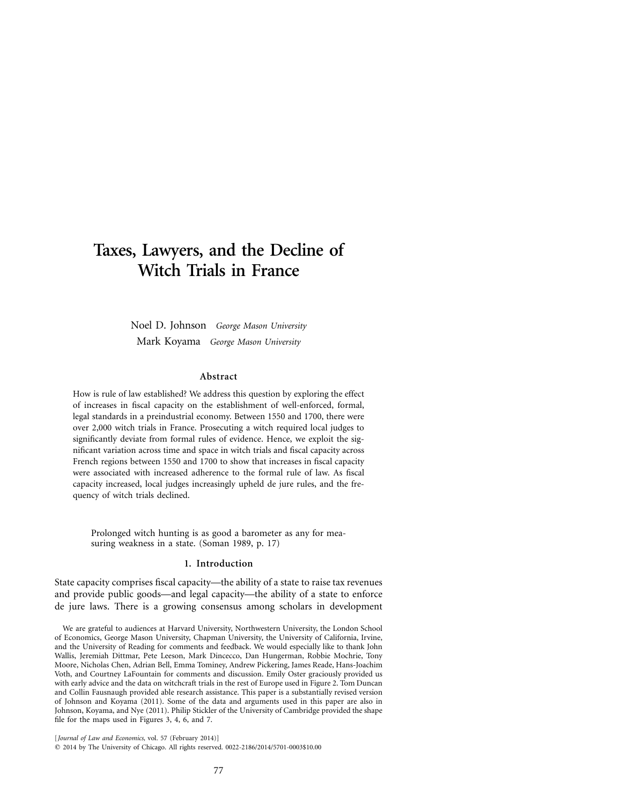# **Taxes, Lawyers, and the Decline of Witch Trials in France**

Noel D. Johnson *George Mason University* Mark Koyama *George Mason University*

## **Abstract**

How is rule of law established? We address this question by exploring the effect of increases in fiscal capacity on the establishment of well-enforced, formal, legal standards in a preindustrial economy. Between 1550 and 1700, there were over 2,000 witch trials in France. Prosecuting a witch required local judges to significantly deviate from formal rules of evidence. Hence, we exploit the significant variation across time and space in witch trials and fiscal capacity across French regions between 1550 and 1700 to show that increases in fiscal capacity were associated with increased adherence to the formal rule of law. As fiscal capacity increased, local judges increasingly upheld de jure rules, and the frequency of witch trials declined.

Prolonged witch hunting is as good a barometer as any for measuring weakness in a state. (Soman 1989, p. 17)

# **1. Introduction**

State capacity comprises fiscal capacity—the ability of a state to raise tax revenues and provide public goods—and legal capacity—the ability of a state to enforce de jure laws. There is a growing consensus among scholars in development

[*Journal of Law and Economics,* vol. 57 (February 2014)] © 2014 by The University of Chicago. All rights reserved. 0022-2186/2014/5701-0003\$10.00

We are grateful to audiences at Harvard University, Northwestern University, the London School of Economics, George Mason University, Chapman University, the University of California, Irvine, and the University of Reading for comments and feedback. We would especially like to thank John Wallis, Jeremiah Dittmar, Pete Leeson, Mark Dincecco, Dan Hungerman, Robbie Mochrie, Tony Moore, Nicholas Chen, Adrian Bell, Emma Tominey, Andrew Pickering, James Reade, Hans-Joachim Voth, and Courtney LaFountain for comments and discussion. Emily Oster graciously provided us with early advice and the data on witchcraft trials in the rest of Europe used in Figure 2. Tom Duncan and Collin Fausnaugh provided able research assistance. This paper is a substantially revised version of Johnson and Koyama (2011). Some of the data and arguments used in this paper are also in Johnson, Koyama, and Nye (2011). Philip Stickler of the University of Cambridge provided the shape file for the maps used in Figures 3, 4, 6, and 7.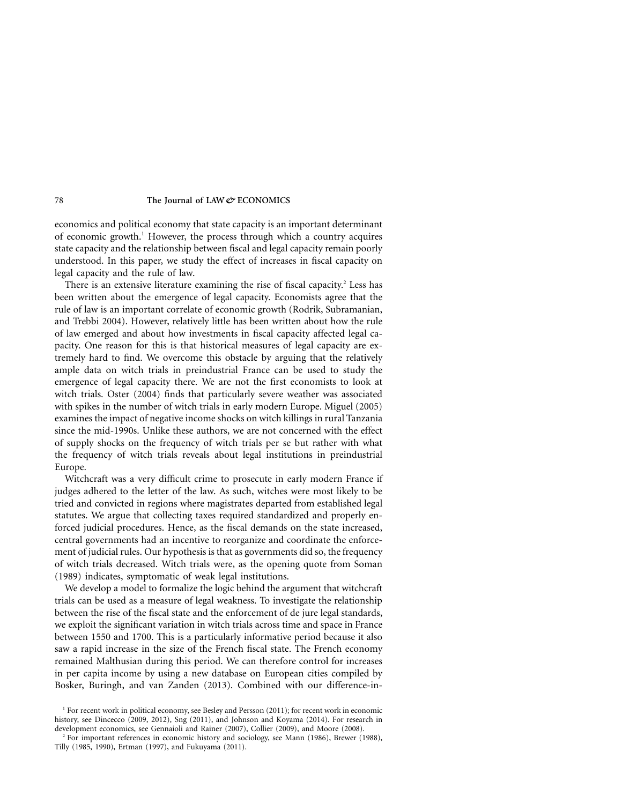economics and political economy that state capacity is an important determinant of economic growth.<sup>1</sup> However, the process through which a country acquires state capacity and the relationship between fiscal and legal capacity remain poorly understood. In this paper, we study the effect of increases in fiscal capacity on legal capacity and the rule of law.

There is an extensive literature examining the rise of fiscal capacity.<sup>2</sup> Less has been written about the emergence of legal capacity. Economists agree that the rule of law is an important correlate of economic growth (Rodrik, Subramanian, and Trebbi 2004). However, relatively little has been written about how the rule of law emerged and about how investments in fiscal capacity affected legal capacity. One reason for this is that historical measures of legal capacity are extremely hard to find. We overcome this obstacle by arguing that the relatively ample data on witch trials in preindustrial France can be used to study the emergence of legal capacity there. We are not the first economists to look at witch trials. Oster (2004) finds that particularly severe weather was associated with spikes in the number of witch trials in early modern Europe. Miguel (2005) examines the impact of negative income shocks on witch killings in rural Tanzania since the mid-1990s. Unlike these authors, we are not concerned with the effect of supply shocks on the frequency of witch trials per se but rather with what the frequency of witch trials reveals about legal institutions in preindustrial Europe.

Witchcraft was a very difficult crime to prosecute in early modern France if judges adhered to the letter of the law. As such, witches were most likely to be tried and convicted in regions where magistrates departed from established legal statutes. We argue that collecting taxes required standardized and properly enforced judicial procedures. Hence, as the fiscal demands on the state increased, central governments had an incentive to reorganize and coordinate the enforcement of judicial rules. Our hypothesis is that as governments did so, the frequency of witch trials decreased. Witch trials were, as the opening quote from Soman (1989) indicates, symptomatic of weak legal institutions.

We develop a model to formalize the logic behind the argument that witchcraft trials can be used as a measure of legal weakness. To investigate the relationship between the rise of the fiscal state and the enforcement of de jure legal standards, we exploit the significant variation in witch trials across time and space in France between 1550 and 1700. This is a particularly informative period because it also saw a rapid increase in the size of the French fiscal state. The French economy remained Malthusian during this period. We can therefore control for increases in per capita income by using a new database on European cities compiled by Bosker, Buringh, and van Zanden (2013). Combined with our difference-in-

<sup>&</sup>lt;sup>1</sup> For recent work in political economy, see Besley and Persson (2011); for recent work in economic history, see Dincecco (2009, 2012), Sng (2011), and Johnson and Koyama (2014). For research in development economics, see Gennaioli and Rainer (2007), Collier (2009), and Moore (2008).

<sup>&</sup>lt;sup>2</sup> For important references in economic history and sociology, see Mann (1986), Brewer (1988), Tilly (1985, 1990), Ertman (1997), and Fukuyama (2011).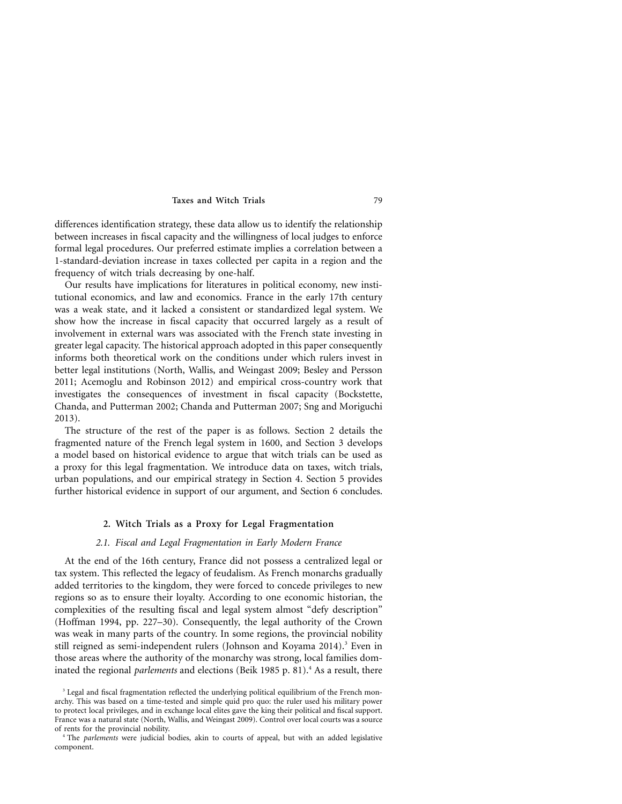differences identification strategy, these data allow us to identify the relationship between increases in fiscal capacity and the willingness of local judges to enforce formal legal procedures. Our preferred estimate implies a correlation between a 1-standard-deviation increase in taxes collected per capita in a region and the frequency of witch trials decreasing by one-half.

Our results have implications for literatures in political economy, new institutional economics, and law and economics. France in the early 17th century was a weak state, and it lacked a consistent or standardized legal system. We show how the increase in fiscal capacity that occurred largely as a result of involvement in external wars was associated with the French state investing in greater legal capacity. The historical approach adopted in this paper consequently informs both theoretical work on the conditions under which rulers invest in better legal institutions (North, Wallis, and Weingast 2009; Besley and Persson 2011; Acemoglu and Robinson 2012) and empirical cross-country work that investigates the consequences of investment in fiscal capacity (Bockstette, Chanda, and Putterman 2002; Chanda and Putterman 2007; Sng and Moriguchi 2013).

The structure of the rest of the paper is as follows. Section 2 details the fragmented nature of the French legal system in 1600, and Section 3 develops a model based on historical evidence to argue that witch trials can be used as a proxy for this legal fragmentation. We introduce data on taxes, witch trials, urban populations, and our empirical strategy in Section 4. Section 5 provides further historical evidence in support of our argument, and Section 6 concludes.

## **2. Witch Trials as a Proxy for Legal Fragmentation**

## *2.1. Fiscal and Legal Fragmentation in Early Modern France*

At the end of the 16th century, France did not possess a centralized legal or tax system. This reflected the legacy of feudalism. As French monarchs gradually added territories to the kingdom, they were forced to concede privileges to new regions so as to ensure their loyalty. According to one economic historian, the complexities of the resulting fiscal and legal system almost "defy description" (Hoffman 1994, pp. 227–30). Consequently, the legal authority of the Crown was weak in many parts of the country. In some regions, the provincial nobility still reigned as semi-independent rulers (Johnson and Koyama 2014).<sup>3</sup> Even in those areas where the authority of the monarchy was strong, local families dominated the regional *parlements* and elections (Beik 1985 p. 81).<sup>4</sup> As a result, there

<sup>&</sup>lt;sup>3</sup> Legal and fiscal fragmentation reflected the underlying political equilibrium of the French monarchy. This was based on a time-tested and simple quid pro quo: the ruler used his military power to protect local privileges, and in exchange local elites gave the king their political and fiscal support. France was a natural state (North, Wallis, and Weingast 2009). Control over local courts was a source of rents for the provincial nobility.

<sup>4</sup> The *parlements* were judicial bodies, akin to courts of appeal, but with an added legislative component.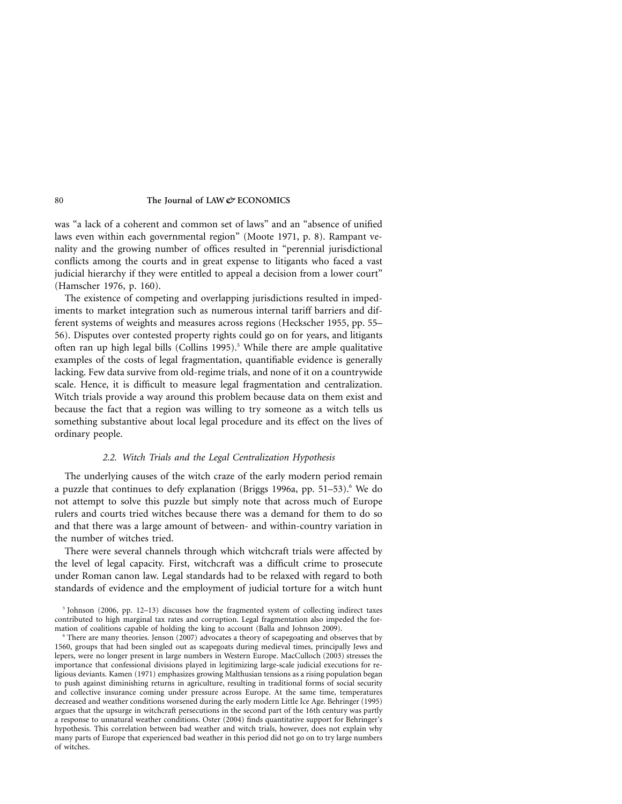was "a lack of a coherent and common set of laws" and an "absence of unified laws even within each governmental region" (Moote 1971, p. 8). Rampant venality and the growing number of offices resulted in "perennial jurisdictional conflicts among the courts and in great expense to litigants who faced a vast judicial hierarchy if they were entitled to appeal a decision from a lower court" (Hamscher 1976, p. 160).

The existence of competing and overlapping jurisdictions resulted in impediments to market integration such as numerous internal tariff barriers and different systems of weights and measures across regions (Heckscher 1955, pp. 55– 56). Disputes over contested property rights could go on for years, and litigants often ran up high legal bills (Collins 1995).<sup>5</sup> While there are ample qualitative examples of the costs of legal fragmentation, quantifiable evidence is generally lacking. Few data survive from old-regime trials, and none of it on a countrywide scale. Hence, it is difficult to measure legal fragmentation and centralization. Witch trials provide a way around this problem because data on them exist and because the fact that a region was willing to try someone as a witch tells us something substantive about local legal procedure and its effect on the lives of ordinary people.

# *2.2. Witch Trials and the Legal Centralization Hypothesis*

The underlying causes of the witch craze of the early modern period remain a puzzle that continues to defy explanation (Briggs 1996a, pp. 51–53).<sup>6</sup> We do not attempt to solve this puzzle but simply note that across much of Europe rulers and courts tried witches because there was a demand for them to do so and that there was a large amount of between- and within-country variation in the number of witches tried.

There were several channels through which witchcraft trials were affected by the level of legal capacity. First, witchcraft was a difficult crime to prosecute under Roman canon law. Legal standards had to be relaxed with regard to both standards of evidence and the employment of judicial torture for a witch hunt

 $5$  Johnson (2006, pp. 12–13) discusses how the fragmented system of collecting indirect taxes contributed to high marginal tax rates and corruption. Legal fragmentation also impeded the formation of coalitions capable of holding the king to account (Balla and Johnson 2009).

There are many theories. Jenson (2007) advocates a theory of scapegoating and observes that by 1560, groups that had been singled out as scapegoats during medieval times, principally Jews and lepers, were no longer present in large numbers in Western Europe. MacCulloch (2003) stresses the importance that confessional divisions played in legitimizing large-scale judicial executions for religious deviants. Kamen (1971) emphasizes growing Malthusian tensions as a rising population began to push against diminishing returns in agriculture, resulting in traditional forms of social security and collective insurance coming under pressure across Europe. At the same time, temperatures decreased and weather conditions worsened during the early modern Little Ice Age. Behringer (1995) argues that the upsurge in witchcraft persecutions in the second part of the 16th century was partly a response to unnatural weather conditions. Oster (2004) finds quantitative support for Behringer's hypothesis. This correlation between bad weather and witch trials, however, does not explain why many parts of Europe that experienced bad weather in this period did not go on to try large numbers of witches.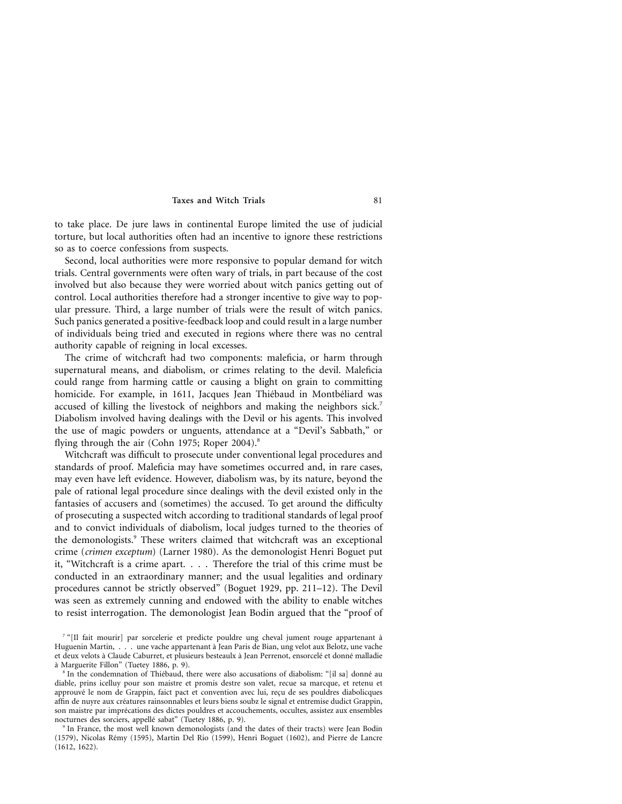to take place. De jure laws in continental Europe limited the use of judicial torture, but local authorities often had an incentive to ignore these restrictions so as to coerce confessions from suspects.

Second, local authorities were more responsive to popular demand for witch trials. Central governments were often wary of trials, in part because of the cost involved but also because they were worried about witch panics getting out of control. Local authorities therefore had a stronger incentive to give way to popular pressure. Third, a large number of trials were the result of witch panics. Such panics generated a positive-feedback loop and could result in a large number of individuals being tried and executed in regions where there was no central authority capable of reigning in local excesses.

The crime of witchcraft had two components: maleficia, or harm through supernatural means, and diabolism, or crimes relating to the devil. Maleficia could range from harming cattle or causing a blight on grain to committing homicide. For example, in 1611, Jacques Jean Thiébaud in Montbéliard was accused of killing the livestock of neighbors and making the neighbors sick.<sup>7</sup> Diabolism involved having dealings with the Devil or his agents. This involved the use of magic powders or unguents, attendance at a "Devil's Sabbath," or flying through the air (Cohn 1975; Roper 2004).<sup>8</sup>

Witchcraft was difficult to prosecute under conventional legal procedures and standards of proof. Maleficia may have sometimes occurred and, in rare cases, may even have left evidence. However, diabolism was, by its nature, beyond the pale of rational legal procedure since dealings with the devil existed only in the fantasies of accusers and (sometimes) the accused. To get around the difficulty of prosecuting a suspected witch according to traditional standards of legal proof and to convict individuals of diabolism, local judges turned to the theories of the demonologists.<sup>9</sup> These writers claimed that witchcraft was an exceptional crime (*crimen exceptum*) (Larner 1980). As the demonologist Henri Boguet put it, "Witchcraft is a crime apart.... Therefore the trial of this crime must be conducted in an extraordinary manner; and the usual legalities and ordinary procedures cannot be strictly observed" (Boguet 1929, pp. 211–12). The Devil was seen as extremely cunning and endowed with the ability to enable witches to resist interrogation. The demonologist Jean Bodin argued that the "proof of

<sup>&</sup>lt;sup>7</sup> "[Il fait mourir] par sorcelerie et predicte pouldre ung cheval jument rouge appartenant à Huguenin Martin, . . . une vache appartenant a` Jean Paris de Bian, ung velot aux Belotz, une vache et deux velots à Claude Caburret, et plusieurs besteaulx à Jean Perrenot, ensorcelé et donné malladie a` Marguerite Fillon" (Tuetey 1886, p. 9).

<sup>&</sup>lt;sup>8</sup> In the condemnation of Thiébaud, there were also accusations of diabolism: "[il sa] donné au diable, prins icelluy pour son maistre et promis destre son valet, recue sa marcque, et retenu et approuvé le nom de Grappin, faict pact et convention avec lui, reçu de ses pouldres diabolicques affin de nuyre aux créatures rainsonnables et leurs biens soubz le signal et entremise dudict Grappin, son maistre par imprécations des dictes pouldres et accouchements, occultes, assistez aux ensembles nocturnes des sorciers, appellé sabat" (Tuetey 1886, p. 9).

<sup>9</sup> In France, the most well known demonologists (and the dates of their tracts) were Jean Bodin (1579), Nicolas Rémy (1595), Martin Del Rio (1599), Henri Boguet (1602), and Pierre de Lancre (1612, 1622).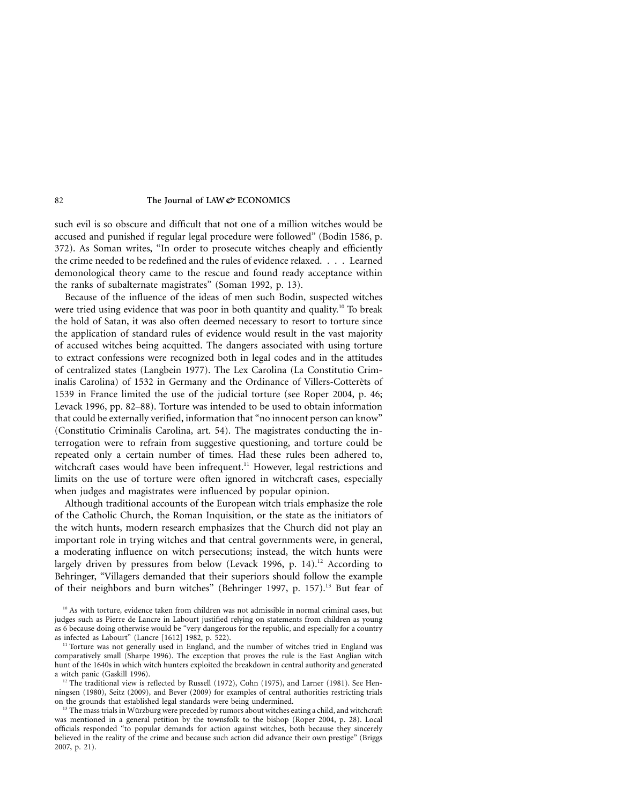such evil is so obscure and difficult that not one of a million witches would be accused and punished if regular legal procedure were followed" (Bodin 1586, p. 372). As Soman writes, "In order to prosecute witches cheaply and efficiently the crime needed to be redefined and the rules of evidence relaxed. . . . Learned demonological theory came to the rescue and found ready acceptance within the ranks of subalternate magistrates" (Soman 1992, p. 13).

Because of the influence of the ideas of men such Bodin, suspected witches were tried using evidence that was poor in both quantity and quality.<sup>10</sup> To break the hold of Satan, it was also often deemed necessary to resort to torture since the application of standard rules of evidence would result in the vast majority of accused witches being acquitted. The dangers associated with using torture to extract confessions were recognized both in legal codes and in the attitudes of centralized states (Langbein 1977). The Lex Carolina (La Constitutio Criminalis Carolina) of 1532 in Germany and the Ordinance of Villers-Cotterets of 1539 in France limited the use of the judicial torture (see Roper 2004, p. 46; Levack 1996, pp. 82–88). Torture was intended to be used to obtain information that could be externally verified, information that "no innocent person can know" (Constitutio Criminalis Carolina, art. 54). The magistrates conducting the interrogation were to refrain from suggestive questioning, and torture could be repeated only a certain number of times. Had these rules been adhered to, witchcraft cases would have been infrequent.<sup>11</sup> However, legal restrictions and limits on the use of torture were often ignored in witchcraft cases, especially when judges and magistrates were influenced by popular opinion.

Although traditional accounts of the European witch trials emphasize the role of the Catholic Church, the Roman Inquisition, or the state as the initiators of the witch hunts, modern research emphasizes that the Church did not play an important role in trying witches and that central governments were, in general, a moderating influence on witch persecutions; instead, the witch hunts were largely driven by pressures from below (Levack 1996, p. 14).<sup>12</sup> According to Behringer, "Villagers demanded that their superiors should follow the example of their neighbors and burn witches" (Behringer 1997, p. 157).<sup>13</sup> But fear of

<sup>&</sup>lt;sup>10</sup> As with torture, evidence taken from children was not admissible in normal criminal cases, but judges such as Pierre de Lancre in Labourt justified relying on statements from children as young as 6 because doing otherwise would be "very dangerous for the republic, and especially for a country as infected as Labourt" (Lancre [1612] 1982, p. 522).

<sup>&</sup>lt;sup>11</sup> Torture was not generally used in England, and the number of witches tried in England was comparatively small (Sharpe 1996). The exception that proves the rule is the East Anglian witch hunt of the 1640s in which witch hunters exploited the breakdown in central authority and generated a witch panic (Gaskill 1996).

 $12$  The traditional view is reflected by Russell (1972), Cohn (1975), and Larner (1981). See Henningsen (1980), Seitz (2009), and Bever (2009) for examples of central authorities restricting trials on the grounds that established legal standards were being undermined.

<sup>&</sup>lt;sup>13</sup> The mass trials in Würzburg were preceded by rumors about witches eating a child, and witchcraft was mentioned in a general petition by the townsfolk to the bishop (Roper 2004, p. 28). Local officials responded "to popular demands for action against witches, both because they sincerely believed in the reality of the crime and because such action did advance their own prestige" (Briggs 2007, p. 21).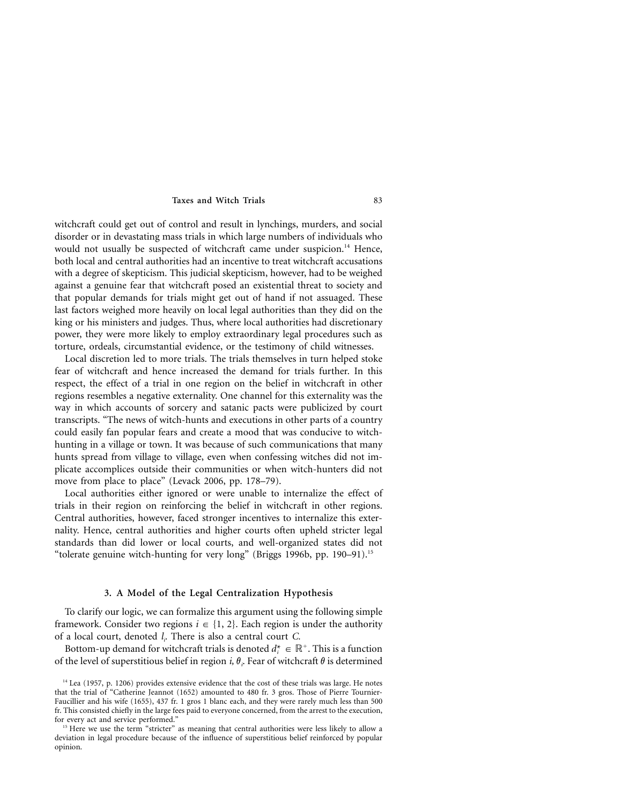witchcraft could get out of control and result in lynchings, murders, and social disorder or in devastating mass trials in which large numbers of individuals who would not usually be suspected of witchcraft came under suspicion.<sup>14</sup> Hence, both local and central authorities had an incentive to treat witchcraft accusations with a degree of skepticism. This judicial skepticism, however, had to be weighed against a genuine fear that witchcraft posed an existential threat to society and that popular demands for trials might get out of hand if not assuaged. These last factors weighed more heavily on local legal authorities than they did on the king or his ministers and judges. Thus, where local authorities had discretionary power, they were more likely to employ extraordinary legal procedures such as torture, ordeals, circumstantial evidence, or the testimony of child witnesses.

Local discretion led to more trials. The trials themselves in turn helped stoke fear of witchcraft and hence increased the demand for trials further. In this respect, the effect of a trial in one region on the belief in witchcraft in other regions resembles a negative externality. One channel for this externality was the way in which accounts of sorcery and satanic pacts were publicized by court transcripts. "The news of witch-hunts and executions in other parts of a country could easily fan popular fears and create a mood that was conducive to witchhunting in a village or town. It was because of such communications that many hunts spread from village to village, even when confessing witches did not implicate accomplices outside their communities or when witch-hunters did not move from place to place" (Levack 2006, pp. 178–79).

Local authorities either ignored or were unable to internalize the effect of trials in their region on reinforcing the belief in witchcraft in other regions. Central authorities, however, faced stronger incentives to internalize this externality. Hence, central authorities and higher courts often upheld stricter legal standards than did lower or local courts, and well-organized states did not "tolerate genuine witch-hunting for very long" (Briggs 1996b, pp. 190–91).<sup>15</sup>

# **3. A Model of the Legal Centralization Hypothesis**

To clarify our logic, we can formalize this argument using the following simple framework. Consider two regions  $i \in \{1, 2\}$ . Each region is under the authority of a local court, denoted *li .* There is also a central court *C.*

Bottom-up demand for witchcraft trials is denoted  $d_i^* \in \mathbb{R}^+$ . This is a function of the level of superstitious belief in region *i*,  $\theta$ <sub>*i*</sub>. Fear of witchcraft  $\theta$  is determined

<sup>&</sup>lt;sup>14</sup> Lea (1957, p. 1206) provides extensive evidence that the cost of these trials was large. He notes that the trial of "Catherine Jeannot (1652) amounted to 480 fr. 3 gros. Those of Pierre Tournier-Faucillier and his wife (1655), 437 fr. 1 gros 1 blanc each, and they were rarely much less than 500 fr. This consisted chiefly in the large fees paid to everyone concerned, from the arrest to the execution, for every act and service performed."

<sup>&</sup>lt;sup>15</sup> Here we use the term "stricter" as meaning that central authorities were less likely to allow a deviation in legal procedure because of the influence of superstitious belief reinforced by popular opinion.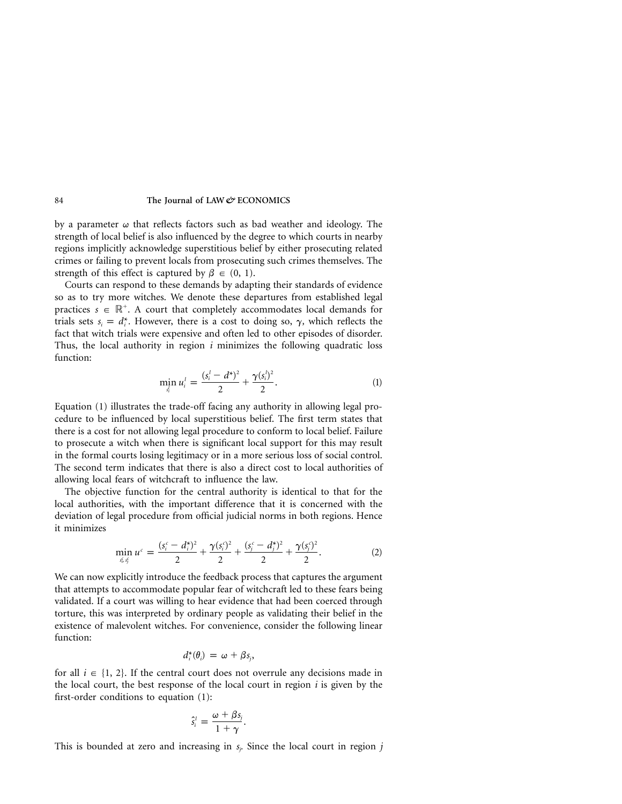by a parameter  $\omega$  that reflects factors such as bad weather and ideology. The strength of local belief is also influenced by the degree to which courts in nearby regions implicitly acknowledge superstitious belief by either prosecuting related crimes or failing to prevent locals from prosecuting such crimes themselves. The strength of this effect is captured by  $\beta \in (0, 1)$ .

Courts can respond to these demands by adapting their standards of evidence so as to try more witches. We denote these departures from established legal practices  $s \in \mathbb{R}^+$ . A court that completely accommodates local demands for trials sets  $s_i = d_i^*$ . However, there is a cost to doing so,  $\gamma$ , which reflects the fact that witch trials were expensive and often led to other episodes of disorder. Thus, the local authority in region *i* minimizes the following quadratic loss function:

$$
\min_{s_i^l} u_i^l = \frac{(s_i^l - d^*)^2}{2} + \frac{\gamma(s_i^l)^2}{2}.
$$
 (1)

Equation (1) illustrates the trade-off facing any authority in allowing legal procedure to be influenced by local superstitious belief. The first term states that there is a cost for not allowing legal procedure to conform to local belief. Failure to prosecute a witch when there is significant local support for this may result in the formal courts losing legitimacy or in a more serious loss of social control. The second term indicates that there is also a direct cost to local authorities of allowing local fears of witchcraft to influence the law.

The objective function for the central authority is identical to that for the local authorities, with the important difference that it is concerned with the deviation of legal procedure from official judicial norms in both regions. Hence it minimizes

$$
\min_{s_i s_j} u^c = \frac{(s_i^c - d_i^*)^2}{2} + \frac{\gamma(s_i^c)^2}{2} + \frac{(s_i^c - d_j^*)^2}{2} + \frac{\gamma(s_i^c)^2}{2}.
$$
 (2)

We can now explicitly introduce the feedback process that captures the argument that attempts to accommodate popular fear of witchcraft led to these fears being validated. If a court was willing to hear evidence that had been coerced through torture, this was interpreted by ordinary people as validating their belief in the existence of malevolent witches. For convenience, consider the following linear function:

$$
d_i^*(\theta_i) = \omega + \beta s_j,
$$

for all  $i \in \{1, 2\}$ . If the central court does not overrule any decisions made in the local court, the best response of the local court in region *i* is given by the first-order conditions to equation (1):

$$
\hat{s}_i^l = \frac{\omega + \beta s_j}{1 + \gamma}.
$$

This is bounded at zero and increasing in *sj .* Since the local court in region *j*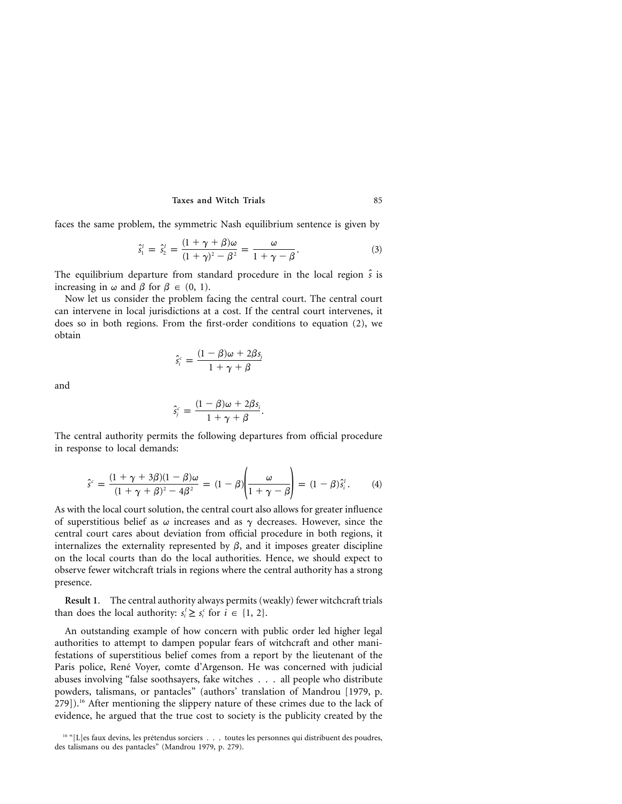faces the same problem, the symmetric Nash equilibrium sentence is given by

$$
\hat{s}_1^1 = \hat{s}_2^1 = \frac{(1+\gamma+\beta)\omega}{(1+\gamma)^2-\beta^2} = \frac{\omega}{1+\gamma-\beta}.
$$
\n(3)

The equilibrium departure from standard procedure in the local region  $\hat{s}$  is increasing in  $\omega$  and  $\beta$  for  $\beta \in (0, 1)$ .

Now let us consider the problem facing the central court. The central court can intervene in local jurisdictions at a cost. If the central court intervenes, it does so in both regions. From the first-order conditions to equation (2), we obtain

$$
\hat{s}_{i}^{c} = \frac{(1 - \beta)\omega + 2\beta s_{j}}{1 + \gamma + \beta}
$$

and

$$
\hat{s}_{j}^{c} = \frac{(1 - \beta)\omega + 2\beta s_{i}}{1 + \gamma + \beta}.
$$

The central authority permits the following departures from official procedure in response to local demands:

$$
\hat{s}^c = \frac{(1+\gamma+3\beta)(1-\beta)\omega}{(1+\gamma+\beta)^2-4\beta^2} = (1-\beta)\left(\frac{\omega}{1+\gamma-\beta}\right) = (1-\beta)\hat{s}_i^t.
$$
 (4)

As with the local court solution, the central court also allows for greater influence of superstitious belief as  $\omega$  increases and as  $\gamma$  decreases. However, since the central court cares about deviation from official procedure in both regions, it internalizes the externality represented by  $\beta$ , and it imposes greater discipline on the local courts than do the local authorities. Hence, we should expect to observe fewer witchcraft trials in regions where the central authority has a strong presence.

**Result 1**. The central authority always permits (weakly) fewer witchcraft trials than does the local authority:  $s_i' \geq s_i^c$  for  $i \in \{1, 2\}$ .

An outstanding example of how concern with public order led higher legal authorities to attempt to dampen popular fears of witchcraft and other manifestations of superstitious belief comes from a report by the lieutenant of the Paris police, René Voyer, comte d'Argenson. He was concerned with judicial abuses involving "false soothsayers, fake witches . . . all people who distribute powders, talismans, or pantacles" (authors' translation of Mandrou [1979, p. 279]).<sup>16</sup> After mentioning the slippery nature of these crimes due to the lack of evidence, he argued that the true cost to society is the publicity created by the

<sup>&</sup>lt;sup>16 "</sup>[L]es faux devins, les prétendus sorciers . . . toutes les personnes qui distribuent des poudres, des talismans ou des pantacles" (Mandrou 1979, p. 279).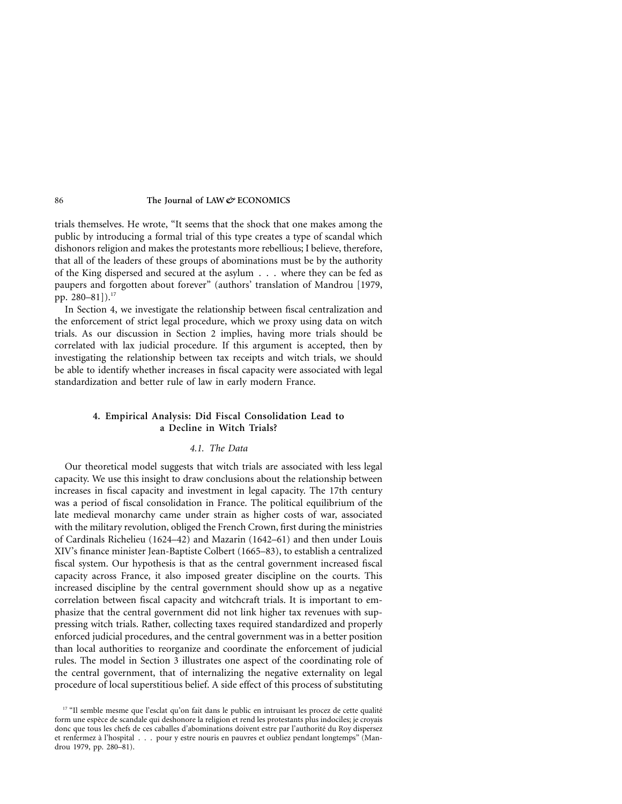trials themselves. He wrote, "It seems that the shock that one makes among the public by introducing a formal trial of this type creates a type of scandal which dishonors religion and makes the protestants more rebellious; I believe, therefore, that all of the leaders of these groups of abominations must be by the authority of the King dispersed and secured at the asylum . . . where they can be fed as paupers and forgotten about forever" (authors' translation of Mandrou [1979, pp. 280–81]).<sup>17</sup>

In Section 4, we investigate the relationship between fiscal centralization and the enforcement of strict legal procedure, which we proxy using data on witch trials. As our discussion in Section 2 implies, having more trials should be correlated with lax judicial procedure. If this argument is accepted, then by investigating the relationship between tax receipts and witch trials, we should be able to identify whether increases in fiscal capacity were associated with legal standardization and better rule of law in early modern France.

# **4. Empirical Analysis: Did Fiscal Consolidation Lead to a Decline in Witch Trials?**

# *4.1. The Data*

Our theoretical model suggests that witch trials are associated with less legal capacity. We use this insight to draw conclusions about the relationship between increases in fiscal capacity and investment in legal capacity. The 17th century was a period of fiscal consolidation in France. The political equilibrium of the late medieval monarchy came under strain as higher costs of war, associated with the military revolution, obliged the French Crown, first during the ministries of Cardinals Richelieu (1624–42) and Mazarin (1642–61) and then under Louis XIV's finance minister Jean-Baptiste Colbert (1665–83), to establish a centralized fiscal system. Our hypothesis is that as the central government increased fiscal capacity across France, it also imposed greater discipline on the courts. This increased discipline by the central government should show up as a negative correlation between fiscal capacity and witchcraft trials. It is important to emphasize that the central government did not link higher tax revenues with suppressing witch trials. Rather, collecting taxes required standardized and properly enforced judicial procedures, and the central government was in a better position than local authorities to reorganize and coordinate the enforcement of judicial rules. The model in Section 3 illustrates one aspect of the coordinating role of the central government, that of internalizing the negative externality on legal procedure of local superstitious belief. A side effect of this process of substituting

<sup>&</sup>lt;sup>17</sup> "Il semble mesme que l'esclat qu'on fait dans le public en intruisant les procez de cette qualité form une espèce de scandale qui deshonore la religion et rend les protestants plus indociles; je croyais donc que tous les chefs de ces caballes d'abominations doivent estre par l'authorité du Roy dispersez et renfermez a` l'hospital... pour y estre nouris en pauvres et oubliez pendant longtemps" (Mandrou 1979, pp. 280–81).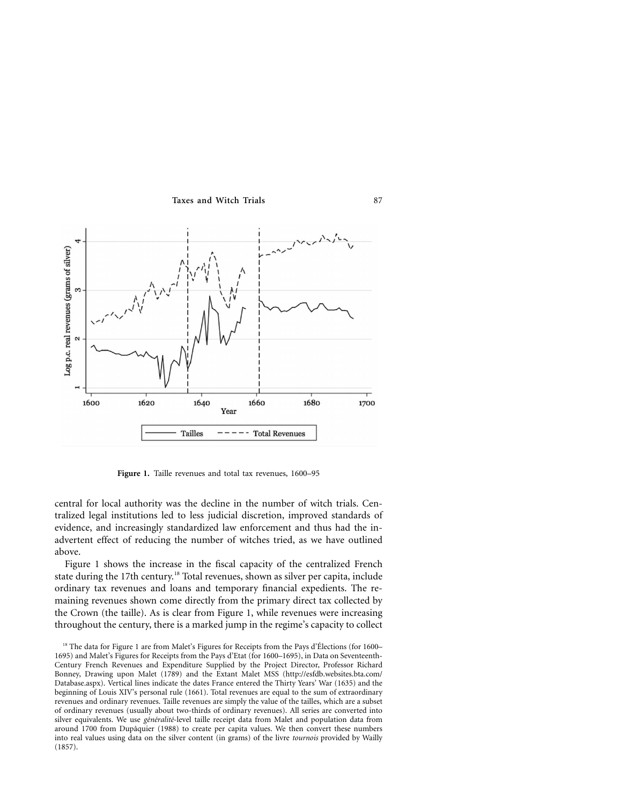

**Figure 1.** Taille revenues and total tax revenues, 1600–95

central for local authority was the decline in the number of witch trials. Centralized legal institutions led to less judicial discretion, improved standards of evidence, and increasingly standardized law enforcement and thus had the inadvertent effect of reducing the number of witches tried, as we have outlined above.

Figure 1 shows the increase in the fiscal capacity of the centralized French state during the 17th century.<sup>18</sup> Total revenues, shown as silver per capita, include ordinary tax revenues and loans and temporary financial expedients. The remaining revenues shown come directly from the primary direct tax collected by the Crown (the taille). As is clear from Figure 1, while revenues were increasing throughout the century, there is a marked jump in the regime's capacity to collect

<sup>&</sup>lt;sup>18</sup> The data for Figure 1 are from Malet's Figures for Receipts from the Pays d'Élections (for 1600– 1695) and Malet's Figures for Receipts from the Pays d'Etat (for 1600–1695), in Data on Seventeenth-Century French Revenues and Expenditure Supplied by the Project Director, Professor Richard Bonney, Drawing upon Malet (1789) and the Extant Malet MSS [\(http://esfdb.websites.bta.com/](http://esfdb.websites.bta.com/Database.aspx) [Database.aspx\)](http://esfdb.websites.bta.com/Database.aspx). Vertical lines indicate the dates France entered the Thirty Years' War (1635) and the beginning of Louis XIV's personal rule (1661). Total revenues are equal to the sum of extraordinary revenues and ordinary revenues. Taille revenues are simply the value of the tailles, which are a subset of ordinary revenues (usually about two-thirds of ordinary revenues). All series are converted into silver equivalents. We use *généralité*-level taille receipt data from Malet and population data from around 1700 from Dupâquier (1988) to create per capita values. We then convert these numbers into real values using data on the silver content (in grams) of the livre *tournois* provided by Wailly (1857).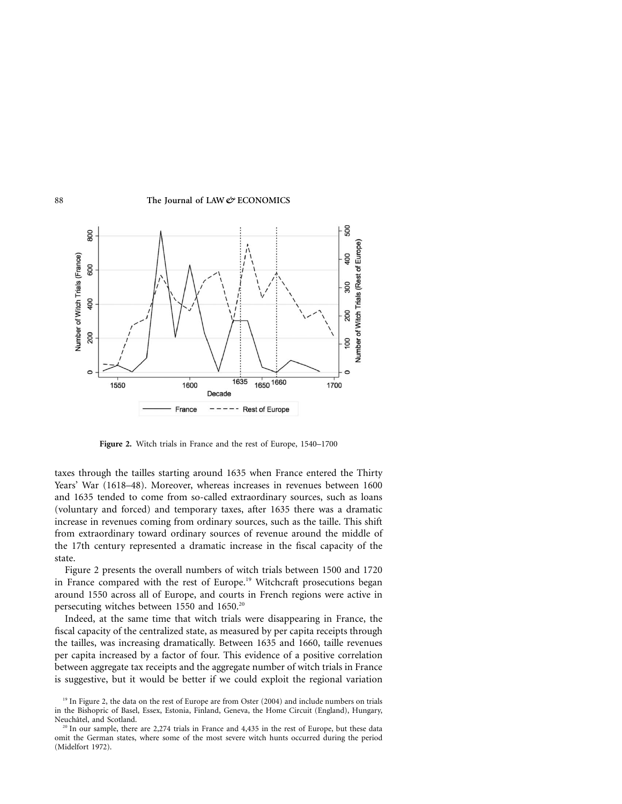

**Figure 2.** Witch trials in France and the rest of Europe, 1540–1700

taxes through the tailles starting around 1635 when France entered the Thirty Years' War (1618–48). Moreover, whereas increases in revenues between 1600 and 1635 tended to come from so-called extraordinary sources, such as loans (voluntary and forced) and temporary taxes, after 1635 there was a dramatic increase in revenues coming from ordinary sources, such as the taille. This shift from extraordinary toward ordinary sources of revenue around the middle of the 17th century represented a dramatic increase in the fiscal capacity of the state.

Figure 2 presents the overall numbers of witch trials between 1500 and 1720 in France compared with the rest of Europe.<sup>19</sup> Witchcraft prosecutions began around 1550 across all of Europe, and courts in French regions were active in persecuting witches between 1550 and 1650.<sup>20</sup>

Indeed, at the same time that witch trials were disappearing in France, the fiscal capacity of the centralized state, as measured by per capita receipts through the tailles, was increasing dramatically. Between 1635 and 1660, taille revenues per capita increased by a factor of four. This evidence of a positive correlation between aggregate tax receipts and the aggregate number of witch trials in France is suggestive, but it would be better if we could exploit the regional variation

<sup>&</sup>lt;sup>19</sup> In Figure 2, the data on the rest of Europe are from Oster (2004) and include numbers on trials in the Bishopric of Basel, Essex, Estonia, Finland, Geneva, the Home Circuit (England), Hungary, Neuchâtel, and Scotland.

 $20$  In our sample, there are 2,274 trials in France and 4,435 in the rest of Europe, but these data omit the German states, where some of the most severe witch hunts occurred during the period (Midelfort 1972).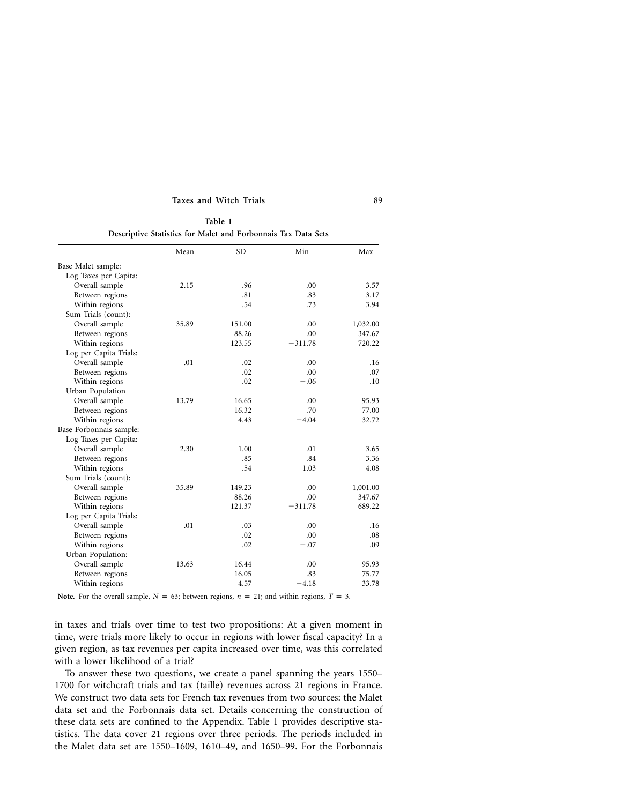| Table 1 |  |  |  |  |                                                               |  |  |  |
|---------|--|--|--|--|---------------------------------------------------------------|--|--|--|
|         |  |  |  |  | Descriptive Statistics for Malet and Forbonnais Tax Data Sets |  |  |  |

|                         | Mean  | <b>SD</b> | Min       | Max      |
|-------------------------|-------|-----------|-----------|----------|
| Base Malet sample:      |       |           |           |          |
| Log Taxes per Capita:   |       |           |           |          |
| Overall sample          | 2.15  | .96       | .00       | 3.57     |
| Between regions         |       | .81       | .83       | 3.17     |
| Within regions          |       | .54       | .73       | 3.94     |
| Sum Trials (count):     |       |           |           |          |
| Overall sample          | 35.89 | 151.00    | .00       | 1,032.00 |
| Between regions         |       | 88.26     | .00       | 347.67   |
| Within regions          |       | 123.55    | $-311.78$ | 720.22   |
| Log per Capita Trials:  |       |           |           |          |
| Overall sample          | .01   | .02       | .00       | .16      |
| Between regions         |       | .02       | .00       | .07      |
| Within regions          |       | .02       | $-.06$    | .10      |
| Urban Population        |       |           |           |          |
| Overall sample          | 13.79 | 16.65     | .00       | 95.93    |
| Between regions         |       | 16.32     | .70       | 77.00    |
| Within regions          |       | 4.43      | $-4.04$   | 32.72    |
| Base Forbonnais sample: |       |           |           |          |
| Log Taxes per Capita:   |       |           |           |          |
| Overall sample          | 2.30  | 1.00      | .01       | 3.65     |
| Between regions         |       | .85       | .84       | 3.36     |
| Within regions          |       | .54       | 1.03      | 4.08     |
| Sum Trials (count):     |       |           |           |          |
| Overall sample          | 35.89 | 149.23    | .00       | 1,001.00 |
| Between regions         |       | 88.26     | .00       | 347.67   |
| Within regions          |       | 121.37    | $-311.78$ | 689.22   |
| Log per Capita Trials:  |       |           |           |          |
| Overall sample          | .01   | .03       | .00       | .16      |
| Between regions         |       | .02       | .00       | .08      |
| Within regions          |       | .02       | $-.07$    | .09      |
| Urban Population:       |       |           |           |          |
| Overall sample          | 13.63 | 16.44     | .00       | 95.93    |
| Between regions         |       | 16.05     | .83       | 75.77    |
| Within regions          |       | 4.57      | $-4.18$   | 33.78    |

**Note.** For the overall sample,  $N = 63$ ; between regions,  $n = 21$ ; and within regions,  $T = 3$ .

in taxes and trials over time to test two propositions: At a given moment in time, were trials more likely to occur in regions with lower fiscal capacity? In a given region, as tax revenues per capita increased over time, was this correlated with a lower likelihood of a trial?

To answer these two questions, we create a panel spanning the years 1550– 1700 for witchcraft trials and tax (taille) revenues across 21 regions in France. We construct two data sets for French tax revenues from two sources: the Malet data set and the Forbonnais data set. Details concerning the construction of these data sets are confined to the Appendix. Table 1 provides descriptive statistics. The data cover 21 regions over three periods. The periods included in the Malet data set are 1550–1609, 1610–49, and 1650–99. For the Forbonnais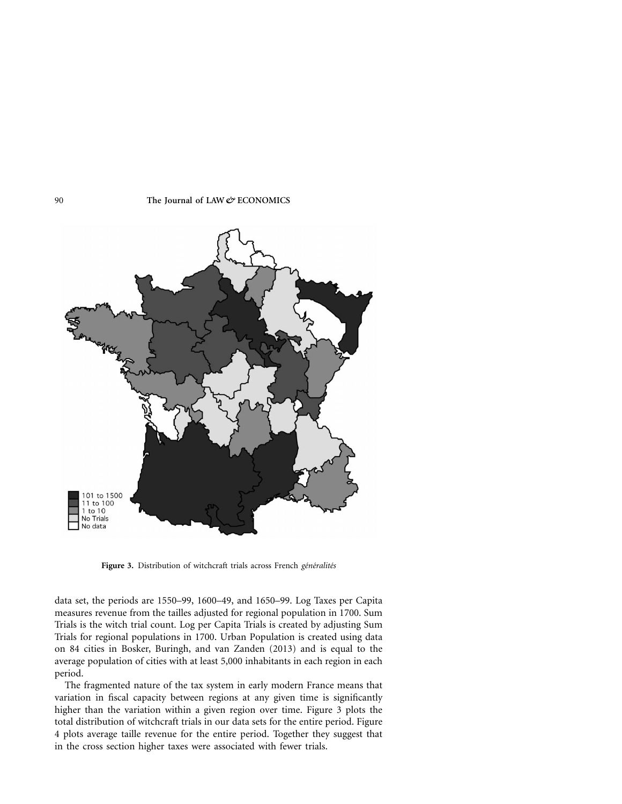

Figure 3. Distribution of witchcraft trials across French *généralités* 

data set, the periods are 1550–99, 1600–49, and 1650–99. Log Taxes per Capita measures revenue from the tailles adjusted for regional population in 1700. Sum Trials is the witch trial count. Log per Capita Trials is created by adjusting Sum Trials for regional populations in 1700. Urban Population is created using data on 84 cities in Bosker, Buringh, and van Zanden (2013) and is equal to the average population of cities with at least 5,000 inhabitants in each region in each period.

The fragmented nature of the tax system in early modern France means that variation in fiscal capacity between regions at any given time is significantly higher than the variation within a given region over time. Figure 3 plots the total distribution of witchcraft trials in our data sets for the entire period. Figure 4 plots average taille revenue for the entire period. Together they suggest that in the cross section higher taxes were associated with fewer trials.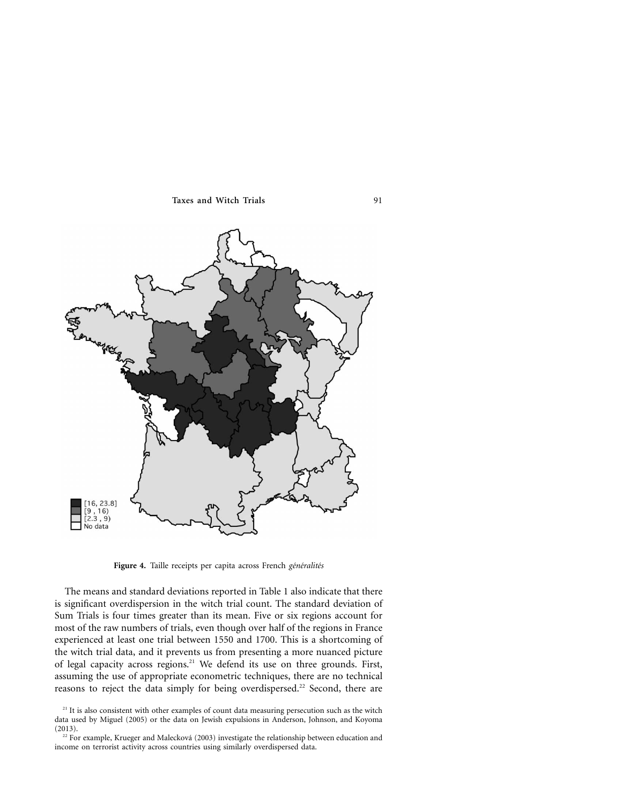

Figure 4. Taille receipts per capita across French *généralités* 

The means and standard deviations reported in Table 1 also indicate that there is significant overdispersion in the witch trial count. The standard deviation of Sum Trials is four times greater than its mean. Five or six regions account for most of the raw numbers of trials, even though over half of the regions in France experienced at least one trial between 1550 and 1700. This is a shortcoming of the witch trial data, and it prevents us from presenting a more nuanced picture of legal capacity across regions.21 We defend its use on three grounds. First, assuming the use of appropriate econometric techniques, there are no technical reasons to reject the data simply for being overdispersed.<sup>22</sup> Second, there are

 $21$  It is also consistent with other examples of count data measuring persecution such as the witch data used by Miguel (2005) or the data on Jewish expulsions in Anderson, Johnson, and Koyoma (2013).

 $22$  For example, Krueger and Malecková (2003) investigate the relationship between education and income on terrorist activity across countries using similarly overdispersed data.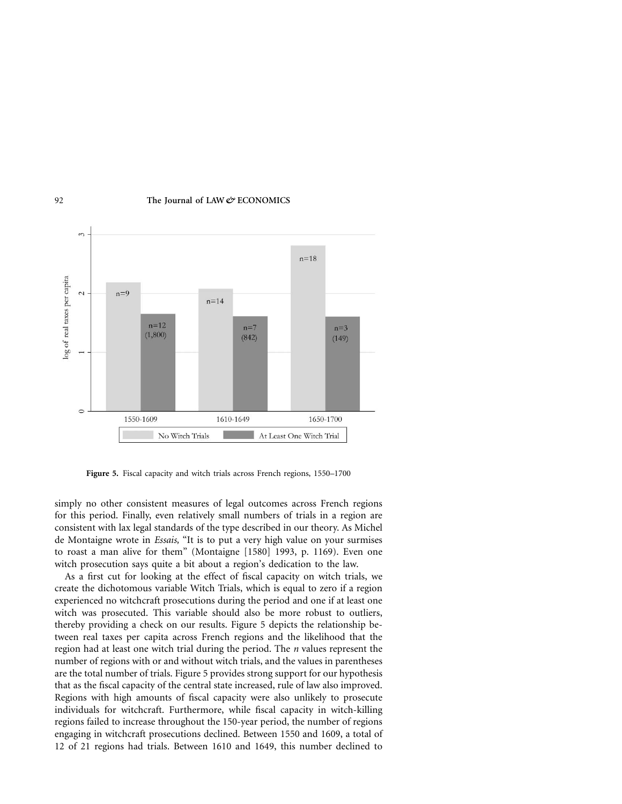

**Figure 5.** Fiscal capacity and witch trials across French regions, 1550–1700

simply no other consistent measures of legal outcomes across French regions for this period. Finally, even relatively small numbers of trials in a region are consistent with lax legal standards of the type described in our theory. As Michel de Montaigne wrote in *Essais,* "It is to put a very high value on your surmises to roast a man alive for them" (Montaigne [1580] 1993, p. 1169). Even one witch prosecution says quite a bit about a region's dedication to the law.

As a first cut for looking at the effect of fiscal capacity on witch trials, we create the dichotomous variable Witch Trials, which is equal to zero if a region experienced no witchcraft prosecutions during the period and one if at least one witch was prosecuted. This variable should also be more robust to outliers, thereby providing a check on our results. Figure 5 depicts the relationship between real taxes per capita across French regions and the likelihood that the region had at least one witch trial during the period. The *n* values represent the number of regions with or and without witch trials, and the values in parentheses are the total number of trials. Figure 5 provides strong support for our hypothesis that as the fiscal capacity of the central state increased, rule of law also improved. Regions with high amounts of fiscal capacity were also unlikely to prosecute individuals for witchcraft. Furthermore, while fiscal capacity in witch-killing regions failed to increase throughout the 150-year period, the number of regions engaging in witchcraft prosecutions declined. Between 1550 and 1609, a total of 12 of 21 regions had trials. Between 1610 and 1649, this number declined to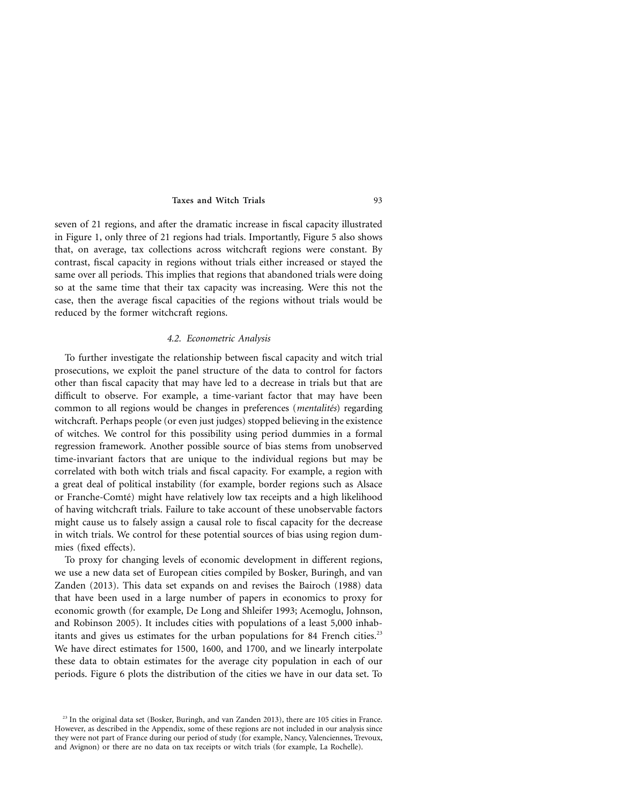seven of 21 regions, and after the dramatic increase in fiscal capacity illustrated in Figure 1, only three of 21 regions had trials. Importantly, Figure 5 also shows that, on average, tax collections across witchcraft regions were constant. By contrast, fiscal capacity in regions without trials either increased or stayed the same over all periods. This implies that regions that abandoned trials were doing so at the same time that their tax capacity was increasing. Were this not the case, then the average fiscal capacities of the regions without trials would be reduced by the former witchcraft regions.

## *4.2. Econometric Analysis*

To further investigate the relationship between fiscal capacity and witch trial prosecutions, we exploit the panel structure of the data to control for factors other than fiscal capacity that may have led to a decrease in trials but that are difficult to observe. For example, a time-variant factor that may have been common to all regions would be changes in preferences (*mentalités*) regarding witchcraft. Perhaps people (or even just judges) stopped believing in the existence of witches. We control for this possibility using period dummies in a formal regression framework. Another possible source of bias stems from unobserved time-invariant factors that are unique to the individual regions but may be correlated with both witch trials and fiscal capacity. For example, a region with a great deal of political instability (for example, border regions such as Alsace or Franche-Comté) might have relatively low tax receipts and a high likelihood of having witchcraft trials. Failure to take account of these unobservable factors might cause us to falsely assign a causal role to fiscal capacity for the decrease in witch trials. We control for these potential sources of bias using region dummies (fixed effects).

To proxy for changing levels of economic development in different regions, we use a new data set of European cities compiled by Bosker, Buringh, and van Zanden (2013). This data set expands on and revises the Bairoch (1988) data that have been used in a large number of papers in economics to proxy for economic growth (for example, De Long and Shleifer 1993; Acemoglu, Johnson, and Robinson 2005). It includes cities with populations of a least 5,000 inhabitants and gives us estimates for the urban populations for 84 French cities.<sup>23</sup> We have direct estimates for 1500, 1600, and 1700, and we linearly interpolate these data to obtain estimates for the average city population in each of our periods. Figure 6 plots the distribution of the cities we have in our data set. To

 $23$  In the original data set (Bosker, Buringh, and van Zanden 2013), there are 105 cities in France. However, as described in the Appendix, some of these regions are not included in our analysis since they were not part of France during our period of study (for example, Nancy, Valenciennes, Trevoux, and Avignon) or there are no data on tax receipts or witch trials (for example, La Rochelle).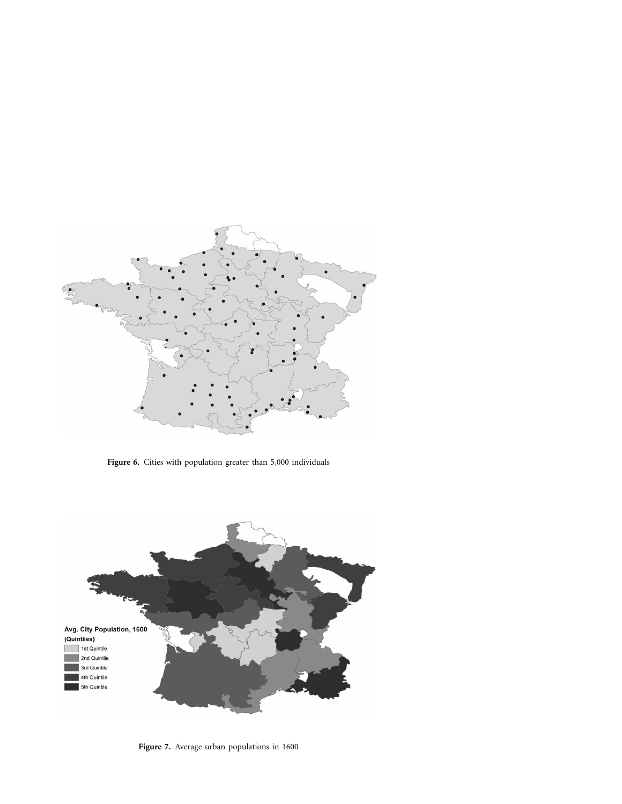

**Figure 6.** Cities with population greater than 5,000 individuals



**Figure 7.** Average urban populations in 1600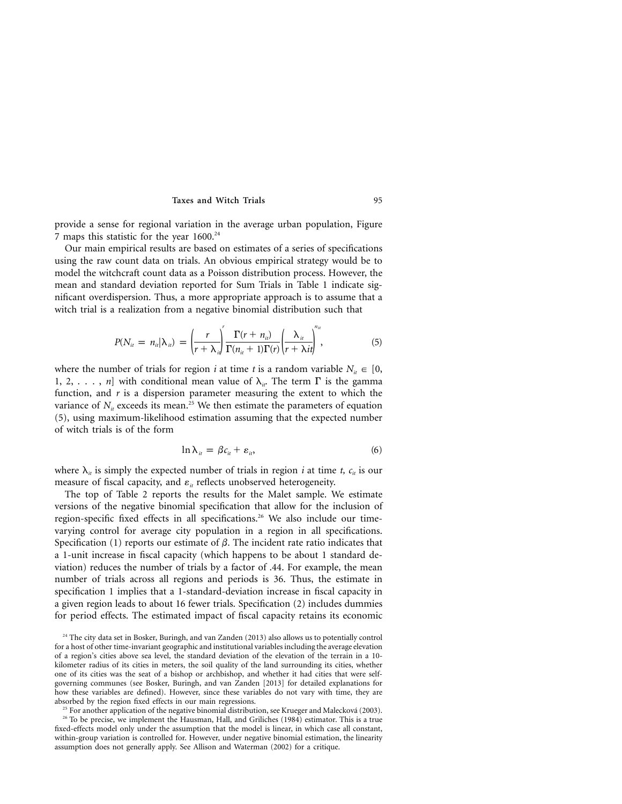provide a sense for regional variation in the average urban population, Figure 7 maps this statistic for the year  $1600.^{24}$ 

Our main empirical results are based on estimates of a series of specifications using the raw count data on trials. An obvious empirical strategy would be to model the witchcraft count data as a Poisson distribution process. However, the mean and standard deviation reported for Sum Trials in Table 1 indicate significant overdispersion. Thus, a more appropriate approach is to assume that a witch trial is a realization from a negative binomial distribution such that

$$
P(N_{ii} = n_{ii} | \lambda_{ii}) = \left(\frac{r}{r + \lambda_{ii}}\right)^r \frac{\Gamma(r + n_{ii})}{\Gamma(n_{ii} + 1)\Gamma(r)} \left(\frac{\lambda_{ii}}{r + \lambda_{ii}}\right)^{n_{ii}},
$$
\n(5)

where the number of trials for region *i* at time *t* is a random variable  $N_{it} \in [0,$ 1, 2, . . . , *n*] with conditional mean value of  $\lambda_{ir}$ . The term  $\Gamma$  is the gamma function, and *r* is a dispersion parameter measuring the extent to which the variance of  $N_{it}$  exceeds its mean.<sup>25</sup> We then estimate the parameters of equation (5), using maximum-likelihood estimation assuming that the expected number of witch trials is of the form

$$
\ln \lambda_{it} = \beta c_{it} + \varepsilon_{it}, \tag{6}
$$

where  $\lambda_i$  is simply the expected number of trials in region *i* at time *t*,  $c_i$  is our measure of fiscal capacity, and  $\varepsilon$ <sub>*it*</sub> reflects unobserved heterogeneity.

The top of Table 2 reports the results for the Malet sample. We estimate versions of the negative binomial specification that allow for the inclusion of region-specific fixed effects in all specifications.<sup>26</sup> We also include our timevarying control for average city population in a region in all specifications. Specification (1) reports our estimate of  $\beta$ . The incident rate ratio indicates that a 1-unit increase in fiscal capacity (which happens to be about 1 standard deviation) reduces the number of trials by a factor of .44. For example, the mean number of trials across all regions and periods is 36. Thus, the estimate in specification 1 implies that a 1-standard-deviation increase in fiscal capacity in a given region leads to about 16 fewer trials. Specification (2) includes dummies for period effects. The estimated impact of fiscal capacity retains its economic

<sup>&</sup>lt;sup>24</sup> The city data set in Bosker, Buringh, and van Zanden (2013) also allows us to potentially control for a host of other time-invariant geographic and institutional variables including the average elevation of a region's cities above sea level, the standard deviation of the elevation of the terrain in a 10 kilometer radius of its cities in meters, the soil quality of the land surrounding its cities, whether one of its cities was the seat of a bishop or archbishop, and whether it had cities that were selfgoverning communes (see Bosker, Buringh, and van Zanden [2013] for detailed explanations for how these variables are defined). However, since these variables do not vary with time, they are absorbed by the region fixed effects in our main regressions.

 $25$  For another application of the negative binomial distribution, see Krueger and Malecková (2003). <sup>26</sup> To be precise, we implement the Hausman, Hall, and Griliches (1984) estimator. This is a true fixed-effects model only under the assumption that the model is linear, in which case all constant, within-group variation is controlled for. However, under negative binomial estimation, the linearity assumption does not generally apply. See Allison and Waterman (2002) for a critique.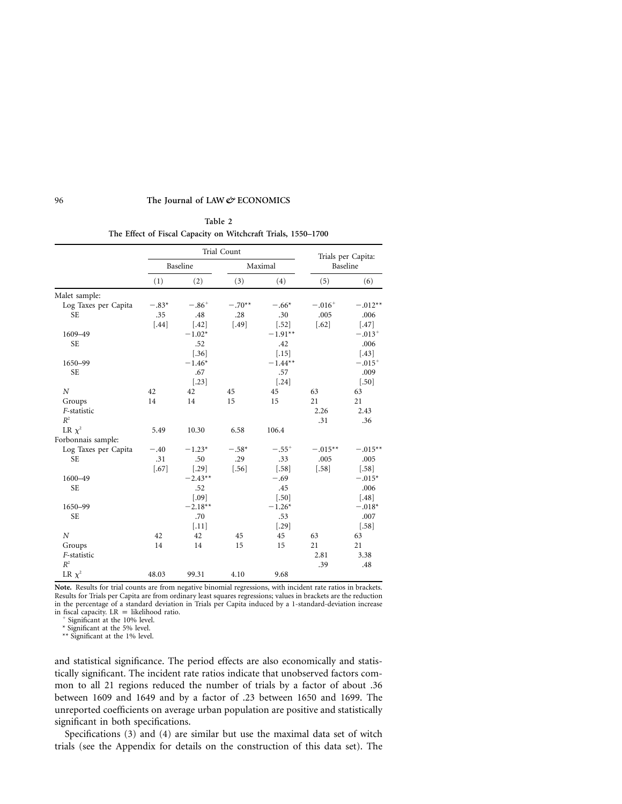**Table 2 The Effect of Fiscal Capacity on Witchcraft Trials, 1550–1700**

|                      |          | Trial Count | Trials per Capita:<br>Baseline |           |           |           |
|----------------------|----------|-------------|--------------------------------|-----------|-----------|-----------|
|                      | Baseline |             |                                |           | Maximal   |           |
|                      | (1)      | (2)         | (3)                            | (4)       | (5)       | (6)       |
| Malet sample:        |          |             |                                |           |           |           |
| Log Taxes per Capita | $-.83*$  | $-.86+$     | $-.70**$                       | $-.66*$   | $-.016+$  | $-.012**$ |
| <b>SE</b>            | .35      | .48         | .28                            | .30       | .005      | .006      |
|                      | $[.44]$  | $[.42]$     | $[.49]$                        | $[.52]$   | $[.62]$   | $[.47]$   |
| 1609-49              |          | $-1.02*$    |                                | $-1.91**$ |           | $-.013+$  |
| <b>SE</b>            |          | .52         |                                | .42       |           | .006      |
|                      |          | $[.36]$     |                                | $[.15]$   |           | $[.43]$   |
| 1650-99              |          | $-1.46*$    |                                | $-1.44**$ |           | $-.015+$  |
| <b>SE</b>            |          | .67         |                                | .57       |           | .009      |
|                      |          | $[.23]$     |                                | $[.24]$   |           | $[.50]$   |
| $\boldsymbol{N}$     | 42       | 42          | 45                             | 45        | 63        | 63        |
| Groups               | 14       | 14          | 15                             | 15        | 21        | 21        |
| F-statistic          |          |             |                                |           | 2.26      | 2.43      |
| $R^2$                |          |             |                                |           | .31       | .36       |
| LR $\chi^2$          | 5.49     | 10.30       | 6.58                           | 106.4     |           |           |
| Forbonnais sample:   |          |             |                                |           |           |           |
| Log Taxes per Capita | $-.40$   | $-1.23*$    | $-.58*$                        | $-.55+$   | $-.015**$ | $-.015**$ |
| <b>SE</b>            | .31      | .50         | .29                            | .33       | .005      | .005      |
|                      | $[.67]$  | $[.29]$     | $[.56]$                        | $[.58]$   | $[.58]$   | $[.58]$   |
| 1600-49              |          | $-2.43**$   |                                | $-.69$    |           | $-.015*$  |
| <b>SE</b>            |          | .52         |                                | .45       |           | .006      |
|                      |          | [.09]       |                                | $[.50]$   |           | $[.48]$   |
| 1650-99              |          | $-2.18**$   |                                | $-1.26*$  |           | $-.018*$  |
| <b>SE</b>            |          | .70         |                                | .53       |           | .007      |
|                      |          | $[.11]$     |                                | $[.29]$   |           | $[.58]$   |
| $\boldsymbol{N}$     | 42       | 42          | 45                             | 45        | 63        | 63        |
| Groups               | 14       | 14          | 15                             | 15        | 21        | 21        |
| F-statistic          |          |             |                                |           | 2.81      | 3.38      |
| $R^2$                |          |             |                                |           | .39       | .48       |
| LR $\chi^2$          | 48.03    | 99.31       | 4.10                           | 9.68      |           |           |
|                      |          |             |                                |           |           |           |

**Note.** Results for trial counts are from negative binomial regressions, with incident rate ratios in brackets. Results for Trials per Capita are from ordinary least squares regressions; values in brackets are the reduction in the percentage of a standard deviation in Trials per Capita induced by a 1-standard-deviation increase in fiscal capacity.  $LR =$  likelihood ratio.

Significant at the 10% level.

\* Significant at the 5% level.

\*\* Significant at the 1% level.

and statistical significance. The period effects are also economically and statistically significant. The incident rate ratios indicate that unobserved factors common to all 21 regions reduced the number of trials by a factor of about .36 between 1609 and 1649 and by a factor of .23 between 1650 and 1699. The unreported coefficients on average urban population are positive and statistically significant in both specifications.

Specifications (3) and (4) are similar but use the maximal data set of witch trials (see the Appendix for details on the construction of this data set). The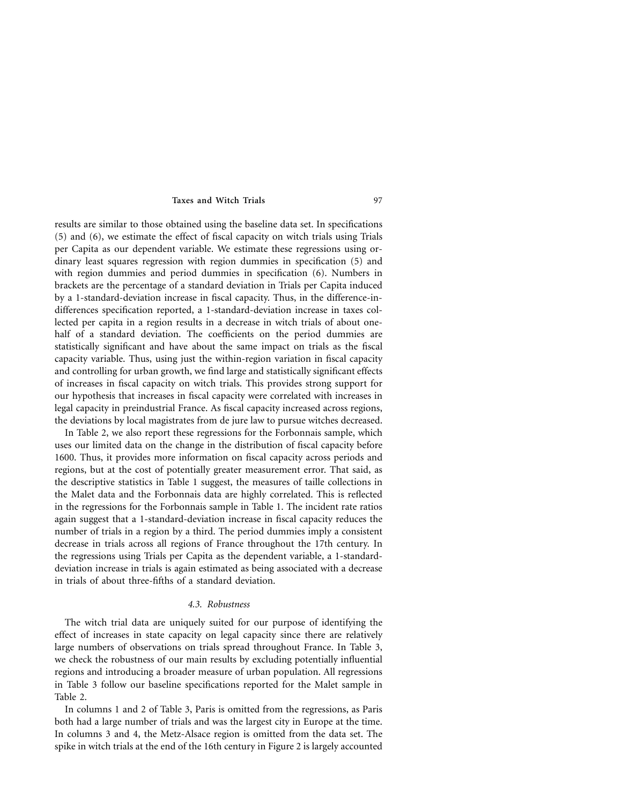results are similar to those obtained using the baseline data set. In specifications (5) and (6), we estimate the effect of fiscal capacity on witch trials using Trials per Capita as our dependent variable. We estimate these regressions using ordinary least squares regression with region dummies in specification (5) and with region dummies and period dummies in specification (6). Numbers in brackets are the percentage of a standard deviation in Trials per Capita induced by a 1-standard-deviation increase in fiscal capacity. Thus, in the difference-indifferences specification reported, a 1-standard-deviation increase in taxes collected per capita in a region results in a decrease in witch trials of about onehalf of a standard deviation. The coefficients on the period dummies are statistically significant and have about the same impact on trials as the fiscal capacity variable. Thus, using just the within-region variation in fiscal capacity and controlling for urban growth, we find large and statistically significant effects of increases in fiscal capacity on witch trials. This provides strong support for our hypothesis that increases in fiscal capacity were correlated with increases in legal capacity in preindustrial France. As fiscal capacity increased across regions, the deviations by local magistrates from de jure law to pursue witches decreased.

In Table 2, we also report these regressions for the Forbonnais sample, which uses our limited data on the change in the distribution of fiscal capacity before 1600. Thus, it provides more information on fiscal capacity across periods and regions, but at the cost of potentially greater measurement error. That said, as the descriptive statistics in Table 1 suggest, the measures of taille collections in the Malet data and the Forbonnais data are highly correlated. This is reflected in the regressions for the Forbonnais sample in Table 1. The incident rate ratios again suggest that a 1-standard-deviation increase in fiscal capacity reduces the number of trials in a region by a third. The period dummies imply a consistent decrease in trials across all regions of France throughout the 17th century. In the regressions using Trials per Capita as the dependent variable, a 1-standarddeviation increase in trials is again estimated as being associated with a decrease in trials of about three-fifths of a standard deviation.

# *4.3. Robustness*

The witch trial data are uniquely suited for our purpose of identifying the effect of increases in state capacity on legal capacity since there are relatively large numbers of observations on trials spread throughout France. In Table 3, we check the robustness of our main results by excluding potentially influential regions and introducing a broader measure of urban population. All regressions in Table 3 follow our baseline specifications reported for the Malet sample in Table 2.

In columns 1 and 2 of Table 3, Paris is omitted from the regressions, as Paris both had a large number of trials and was the largest city in Europe at the time. In columns 3 and 4, the Metz-Alsace region is omitted from the data set. The spike in witch trials at the end of the 16th century in Figure 2 is largely accounted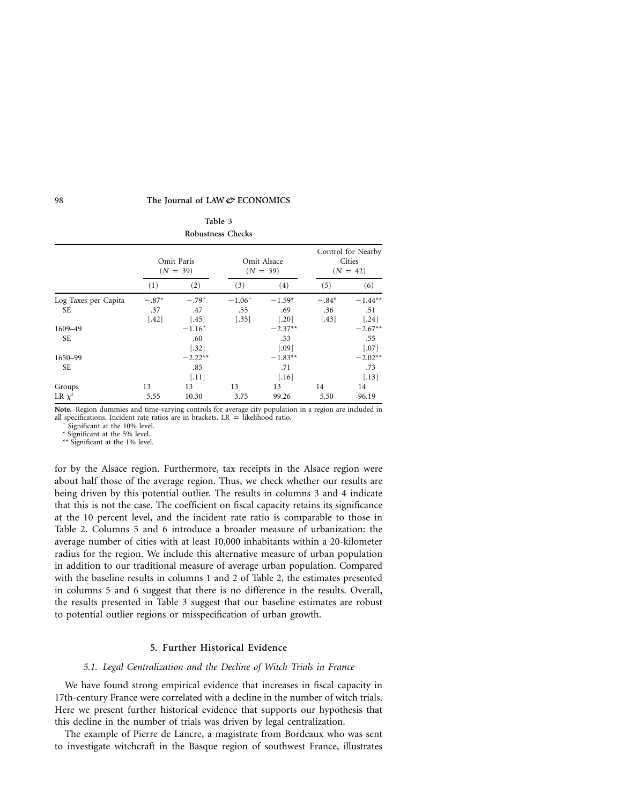| <b>Robustness Checks</b>   |                           |                               |                               |                                         |                                            |                             |
|----------------------------|---------------------------|-------------------------------|-------------------------------|-----------------------------------------|--------------------------------------------|-----------------------------|
|                            | Omit Paris<br>$(N = 39)$  |                               |                               | Omit Alsace<br>$(N = 39)$               | Control for Nearby<br>Cities<br>$(N = 42)$ |                             |
|                            | (1)                       | (2)                           | (3)                           | (4)                                     | (5)                                        | (6)                         |
| Log Taxes per Capita<br>SE | $-.87*$<br>.37<br>$[.42]$ | $-.79+$<br>.47<br>$[.45]$     | $-1.06^{+}$<br>.55<br>$[.35]$ | $-1.59*$<br>.69<br>$\left[ .20 \right]$ | $-.84*$<br>.36<br>$[.43]$                  | $-1.44**$<br>.51<br>$[.24]$ |
| 1609-49<br><b>SE</b>       |                           | $-1.16^{+}$<br>.60<br>$[.32]$ |                               | $-2.37**$<br>.53<br>$\left[ .09\right]$ |                                            | $-2.67**$<br>.55<br>$[.07]$ |
| 1650-99<br><b>SE</b>       |                           | $-2.22**$<br>.85<br>$[.11]$   |                               | $-1.83**$<br>.71<br>$[.16]$             |                                            | $-2.02**$<br>.73<br>$[.13]$ |
| Groups<br>LR $\chi^2$      | 13<br>5.55                | 13<br>10.30                   | 13<br>3.75                    | 13<br>99.26                             | 14<br>5.50                                 | 14<br>96.19                 |

**Table 3**

**Note.** Region dummies and time-varying controls for average city population in a region are included in all specifications. Incident rate ratios are in brackets. LR = likelihood ratio.

Significant at the 10% level.

\* Significant at the 5% level. \*\* Significant at the 1% level.

for by the Alsace region. Furthermore, tax receipts in the Alsace region were about half those of the average region. Thus, we check whether our results are being driven by this potential outlier. The results in columns 3 and 4 indicate that this is not the case. The coefficient on fiscal capacity retains its significance at the 10 percent level, and the incident rate ratio is comparable to those in Table 2. Columns 5 and 6 introduce a broader measure of urbanization: the average number of cities with at least 10,000 inhabitants within a 20-kilometer radius for the region. We include this alternative measure of urban population in addition to our traditional measure of average urban population. Compared with the baseline results in columns 1 and 2 of Table 2, the estimates presented in columns 5 and 6 suggest that there is no difference in the results. Overall, the results presented in Table 3 suggest that our baseline estimates are robust to potential outlier regions or misspecification of urban growth.

# **5. Further Historical Evidence**

## *5.1. Legal Centralization and the Decline of Witch Trials in France*

We have found strong empirical evidence that increases in fiscal capacity in 17th-century France were correlated with a decline in the number of witch trials. Here we present further historical evidence that supports our hypothesis that this decline in the number of trials was driven by legal centralization.

The example of Pierre de Lancre, a magistrate from Bordeaux who was sent to investigate witchcraft in the Basque region of southwest France, illustrates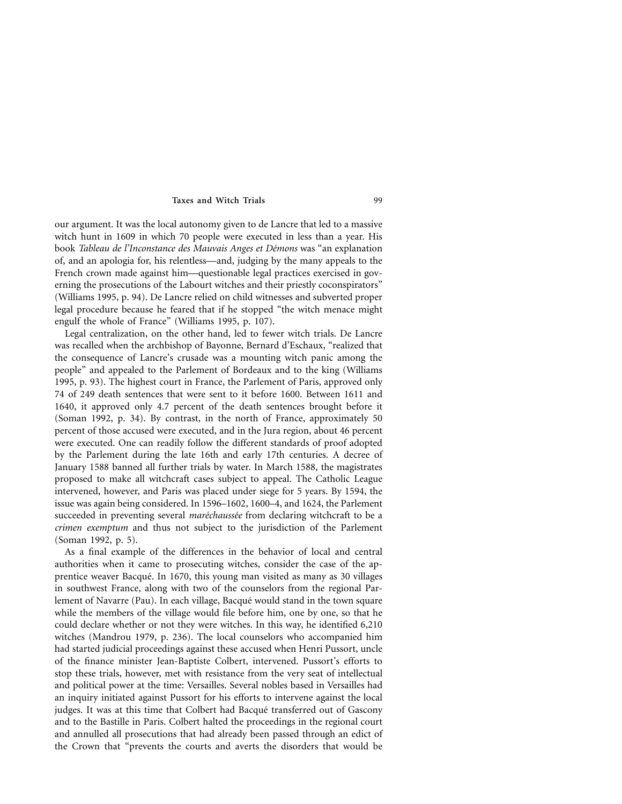our argument. It was the local autonomy given to de Lancre that led to a massive witch hunt in 1609 in which 70 people were executed in less than a year. His book *Tableau de l'Inconstance des Mauvais Anges et De´mons* was "an explanation of, and an apologia for, his relentless—and, judging by the many appeals to the French crown made against him—questionable legal practices exercised in governing the prosecutions of the Labourt witches and their priestly coconspirators" (Williams 1995, p. 94). De Lancre relied on child witnesses and subverted proper legal procedure because he feared that if he stopped "the witch menace might engulf the whole of France" (Williams 1995, p. 107).

Legal centralization, on the other hand, led to fewer witch trials. De Lancre was recalled when the archbishop of Bayonne, Bernard d'Eschaux, "realized that the consequence of Lancre's crusade was a mounting witch panic among the people" and appealed to the Parlement of Bordeaux and to the king (Williams 1995, p. 93). The highest court in France, the Parlement of Paris, approved only 74 of 249 death sentences that were sent to it before 1600. Between 1611 and 1640, it approved only 4.7 percent of the death sentences brought before it (Soman 1992, p. 34). By contrast, in the north of France, approximately 50 percent of those accused were executed, and in the Jura region, about 46 percent were executed. One can readily follow the different standards of proof adopted by the Parlement during the late 16th and early 17th centuries. A decree of January 1588 banned all further trials by water. In March 1588, the magistrates proposed to make all witchcraft cases subject to appeal. The Catholic League intervened, however, and Paris was placed under siege for 5 years. By 1594, the issue was again being considered. In 1596–1602, 1600–4, and 1624, the Parlement succeeded in preventing several *maréchaussée* from declaring witchcraft to be a *crimen exemptum* and thus not subject to the jurisdiction of the Parlement (Soman 1992, p. 5).

As a final example of the differences in the behavior of local and central authorities when it came to prosecuting witches, consider the case of the apprentice weaver Bacque´. In 1670, this young man visited as many as 30 villages in southwest France, along with two of the counselors from the regional Parlement of Navarre (Pau). In each village, Bacqué would stand in the town square while the members of the village would file before him, one by one, so that he could declare whether or not they were witches. In this way, he identified 6,210 witches (Mandrou 1979, p. 236). The local counselors who accompanied him had started judicial proceedings against these accused when Henri Pussort, uncle of the finance minister Jean-Baptiste Colbert, intervened. Pussort's efforts to stop these trials, however, met with resistance from the very seat of intellectual and political power at the time: Versailles. Several nobles based in Versailles had an inquiry initiated against Pussort for his efforts to intervene against the local judges. It was at this time that Colbert had Bacqué transferred out of Gascony and to the Bastille in Paris. Colbert halted the proceedings in the regional court and annulled all prosecutions that had already been passed through an edict of the Crown that "prevents the courts and averts the disorders that would be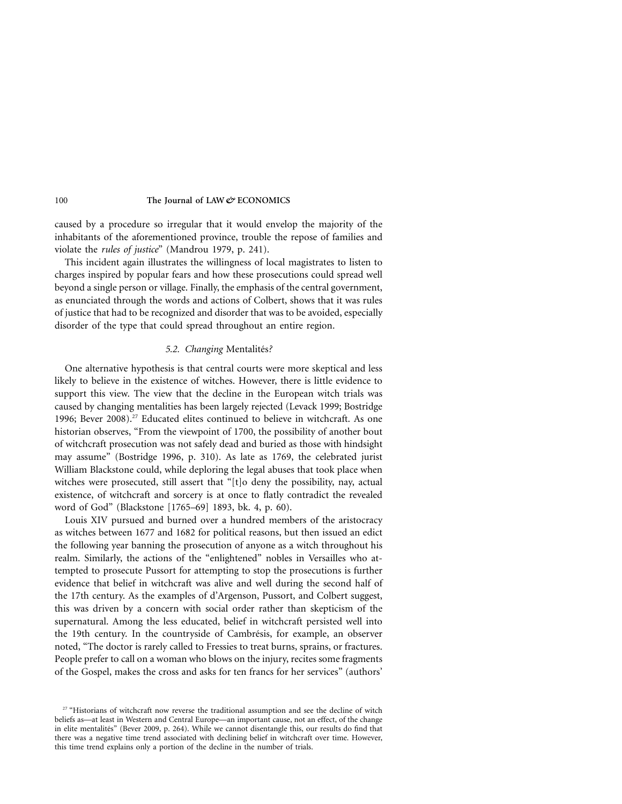caused by a procedure so irregular that it would envelop the majority of the inhabitants of the aforementioned province, trouble the repose of families and violate the *rules of justice*" (Mandrou 1979, p. 241).

This incident again illustrates the willingness of local magistrates to listen to charges inspired by popular fears and how these prosecutions could spread well beyond a single person or village. Finally, the emphasis of the central government, as enunciated through the words and actions of Colbert, shows that it was rules of justice that had to be recognized and disorder that was to be avoided, especially disorder of the type that could spread throughout an entire region.

## *5.2. Changing* Mentalite´s*?*

One alternative hypothesis is that central courts were more skeptical and less likely to believe in the existence of witches. However, there is little evidence to support this view. The view that the decline in the European witch trials was caused by changing mentalities has been largely rejected (Levack 1999; Bostridge 1996; Bever 2008).<sup>27</sup> Educated elites continued to believe in witchcraft. As one historian observes, "From the viewpoint of 1700, the possibility of another bout of witchcraft prosecution was not safely dead and buried as those with hindsight may assume" (Bostridge 1996, p. 310). As late as 1769, the celebrated jurist William Blackstone could, while deploring the legal abuses that took place when witches were prosecuted, still assert that "[t]o deny the possibility, nay, actual existence, of witchcraft and sorcery is at once to flatly contradict the revealed word of God" (Blackstone [1765–69] 1893, bk. 4, p. 60).

Louis XIV pursued and burned over a hundred members of the aristocracy as witches between 1677 and 1682 for political reasons, but then issued an edict the following year banning the prosecution of anyone as a witch throughout his realm. Similarly, the actions of the "enlightened" nobles in Versailles who attempted to prosecute Pussort for attempting to stop the prosecutions is further evidence that belief in witchcraft was alive and well during the second half of the 17th century. As the examples of d'Argenson, Pussort, and Colbert suggest, this was driven by a concern with social order rather than skepticism of the supernatural. Among the less educated, belief in witchcraft persisted well into the 19th century. In the countryside of Cambrésis, for example, an observer noted, "The doctor is rarely called to Fressies to treat burns, sprains, or fractures. People prefer to call on a woman who blows on the injury, recites some fragments of the Gospel, makes the cross and asks for ten francs for her services" (authors'

<sup>&</sup>lt;sup>27</sup> "Historians of witchcraft now reverse the traditional assumption and see the decline of witch beliefs as—at least in Western and Central Europe—an important cause, not an effect, of the change in elite mentalités" (Bever 2009, p. 264). While we cannot disentangle this, our results do find that there was a negative time trend associated with declining belief in witchcraft over time. However, this time trend explains only a portion of the decline in the number of trials.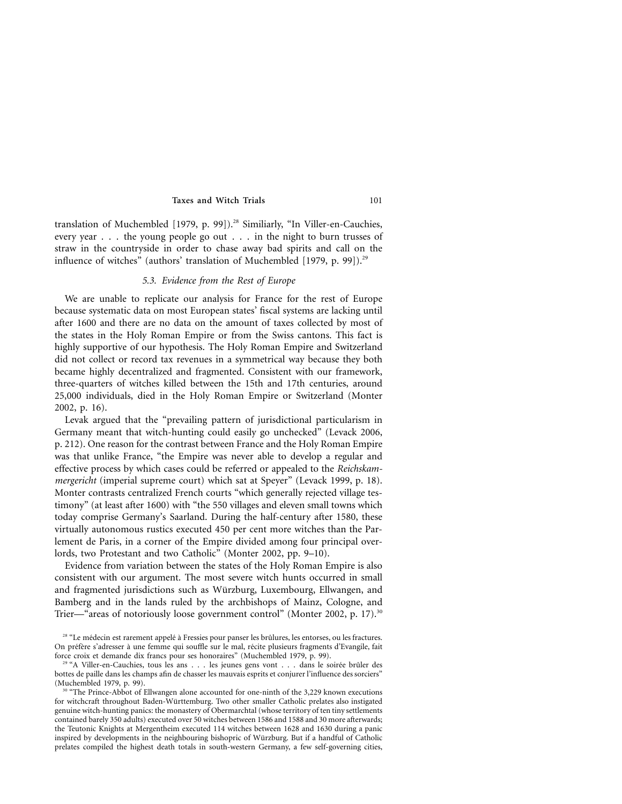translation of Muchembled [1979, p. 99]).<sup>28</sup> Similiarly, "In Viller-en-Cauchies, every year . . . the young people go out . . . in the night to burn trusses of straw in the countryside in order to chase away bad spirits and call on the influence of witches" (authors' translation of Muchembled [1979, p. 99]).<sup>29</sup>

## *5.3. Evidence from the Rest of Europe*

We are unable to replicate our analysis for France for the rest of Europe because systematic data on most European states' fiscal systems are lacking until after 1600 and there are no data on the amount of taxes collected by most of the states in the Holy Roman Empire or from the Swiss cantons. This fact is highly supportive of our hypothesis. The Holy Roman Empire and Switzerland did not collect or record tax revenues in a symmetrical way because they both became highly decentralized and fragmented. Consistent with our framework, three-quarters of witches killed between the 15th and 17th centuries, around 25,000 individuals, died in the Holy Roman Empire or Switzerland (Monter 2002, p. 16).

Levak argued that the "prevailing pattern of jurisdictional particularism in Germany meant that witch-hunting could easily go unchecked" (Levack 2006, p. 212). One reason for the contrast between France and the Holy Roman Empire was that unlike France, "the Empire was never able to develop a regular and effective process by which cases could be referred or appealed to the *Reichskammergericht* (imperial supreme court) which sat at Speyer" (Levack 1999, p. 18). Monter contrasts centralized French courts "which generally rejected village testimony" (at least after 1600) with "the 550 villages and eleven small towns which today comprise Germany's Saarland. During the half-century after 1580, these virtually autonomous rustics executed 450 per cent more witches than the Parlement de Paris, in a corner of the Empire divided among four principal overlords, two Protestant and two Catholic" (Monter 2002, pp. 9–10).

Evidence from variation between the states of the Holy Roman Empire is also consistent with our argument. The most severe witch hunts occurred in small and fragmented jurisdictions such as Wu¨rzburg, Luxembourg, Ellwangen, and Bamberg and in the lands ruled by the archbishops of Mainz, Cologne, and Trier—"areas of notoriously loose government control" (Monter 2002, p. 17).<sup>30</sup>

<sup>&</sup>lt;sup>28</sup> "Le médecin est rarement appelé à Fressies pour panser les brûlures, les entorses, ou les fractures. On préfère s'adresser à une femme qui souffle sur le mal, récite plusieurs fragments d'Evangile, fait force croix et demande dix francs pour ses honoraires" (Muchembled 1979, p. 99).

<sup>&</sup>quot;A Viller-en-Cauchies, tous les ans . . . les jeunes gens vont . . . dans le soirée brûler des bottes de paille dans les champs afin de chasser les mauvais esprits et conjurer l'influence des sorciers" (Muchembled 1979, p. 99).

<sup>&#</sup>x27;The Prince-Abbot of Ellwangen alone accounted for one-ninth of the 3,229 known executions for witchcraft throughout Baden-Württemburg. Two other smaller Catholic prelates also instigated genuine witch-hunting panics: the monastery of Obermarchtal (whose territory of ten tiny settlements contained barely 350 adults) executed over 50 witches between 1586 and 1588 and 30 more afterwards; the Teutonic Knights at Mergentheim executed 114 witches between 1628 and 1630 during a panic inspired by developments in the neighbouring bishopric of Würzburg. But if a handful of Catholic prelates compiled the highest death totals in south-western Germany, a few self-governing cities,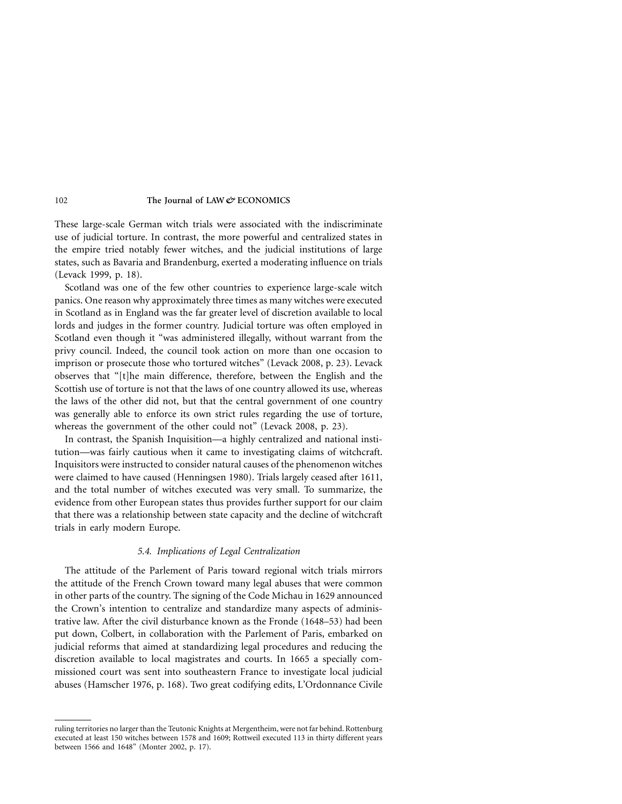These large-scale German witch trials were associated with the indiscriminate use of judicial torture. In contrast, the more powerful and centralized states in the empire tried notably fewer witches, and the judicial institutions of large states, such as Bavaria and Brandenburg, exerted a moderating influence on trials (Levack 1999, p. 18).

Scotland was one of the few other countries to experience large-scale witch panics. One reason why approximately three times as many witches were executed in Scotland as in England was the far greater level of discretion available to local lords and judges in the former country. Judicial torture was often employed in Scotland even though it "was administered illegally, without warrant from the privy council. Indeed, the council took action on more than one occasion to imprison or prosecute those who tortured witches" (Levack 2008, p. 23). Levack observes that "[t]he main difference, therefore, between the English and the Scottish use of torture is not that the laws of one country allowed its use, whereas the laws of the other did not, but that the central government of one country was generally able to enforce its own strict rules regarding the use of torture, whereas the government of the other could not" (Levack 2008, p. 23).

In contrast, the Spanish Inquisition—a highly centralized and national institution—was fairly cautious when it came to investigating claims of witchcraft. Inquisitors were instructed to consider natural causes of the phenomenon witches were claimed to have caused (Henningsen 1980). Trials largely ceased after 1611, and the total number of witches executed was very small. To summarize, the evidence from other European states thus provides further support for our claim that there was a relationship between state capacity and the decline of witchcraft trials in early modern Europe.

# *5.4. Implications of Legal Centralization*

The attitude of the Parlement of Paris toward regional witch trials mirrors the attitude of the French Crown toward many legal abuses that were common in other parts of the country. The signing of the Code Michau in 1629 announced the Crown's intention to centralize and standardize many aspects of administrative law. After the civil disturbance known as the Fronde (1648–53) had been put down, Colbert, in collaboration with the Parlement of Paris, embarked on judicial reforms that aimed at standardizing legal procedures and reducing the discretion available to local magistrates and courts. In 1665 a specially commissioned court was sent into southeastern France to investigate local judicial abuses (Hamscher 1976, p. 168). Two great codifying edits, L'Ordonnance Civile

ruling territories no larger than the Teutonic Knights at Mergentheim, were not far behind. Rottenburg executed at least 150 witches between 1578 and 1609; Rottweil executed 113 in thirty different years between 1566 and 1648" (Monter 2002, p. 17).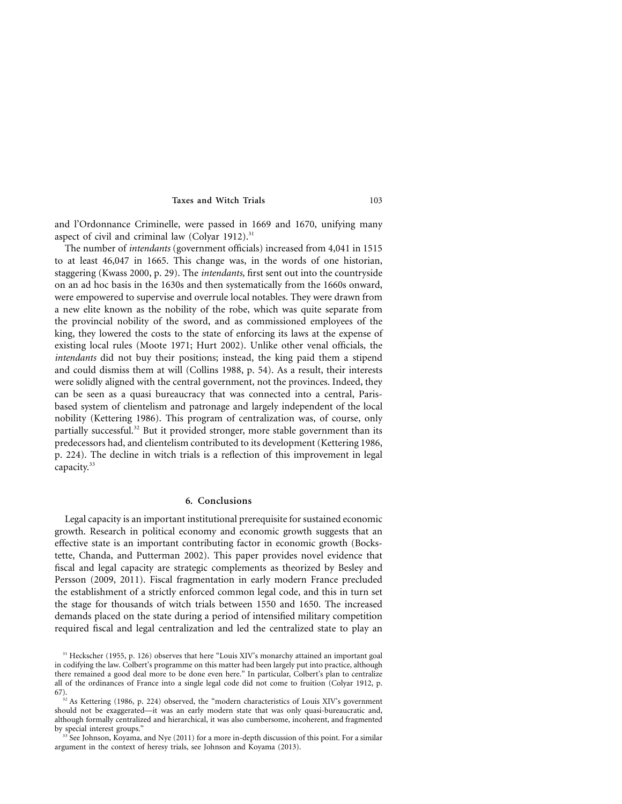and l'Ordonnance Criminelle, were passed in 1669 and 1670, unifying many aspect of civil and criminal law (Colyar 1912). $31$ 

The number of *intendants* (government officials) increased from 4,041 in 1515 to at least 46,047 in 1665. This change was, in the words of one historian, staggering (Kwass 2000, p. 29). The *intendants,* first sent out into the countryside on an ad hoc basis in the 1630s and then systematically from the 1660s onward, were empowered to supervise and overrule local notables. They were drawn from a new elite known as the nobility of the robe, which was quite separate from the provincial nobility of the sword, and as commissioned employees of the king, they lowered the costs to the state of enforcing its laws at the expense of existing local rules (Moote 1971; Hurt 2002). Unlike other venal officials, the *intendants* did not buy their positions; instead, the king paid them a stipend and could dismiss them at will (Collins 1988, p. 54). As a result, their interests were solidly aligned with the central government, not the provinces. Indeed, they can be seen as a quasi bureaucracy that was connected into a central, Parisbased system of clientelism and patronage and largely independent of the local nobility (Kettering 1986). This program of centralization was, of course, only partially successful.<sup>32</sup> But it provided stronger, more stable government than its predecessors had, and clientelism contributed to its development (Kettering 1986, p. 224). The decline in witch trials is a reflection of this improvement in legal capacity.<sup>33</sup>

# **6. Conclusions**

Legal capacity is an important institutional prerequisite for sustained economic growth. Research in political economy and economic growth suggests that an effective state is an important contributing factor in economic growth (Bockstette, Chanda, and Putterman 2002). This paper provides novel evidence that fiscal and legal capacity are strategic complements as theorized by Besley and Persson (2009, 2011). Fiscal fragmentation in early modern France precluded the establishment of a strictly enforced common legal code, and this in turn set the stage for thousands of witch trials between 1550 and 1650. The increased demands placed on the state during a period of intensified military competition required fiscal and legal centralization and led the centralized state to play an

<sup>&</sup>lt;sup>31</sup> Heckscher (1955, p. 126) observes that here "Louis XIV's monarchy attained an important goal in codifying the law. Colbert's programme on this matter had been largely put into practice, although there remained a good deal more to be done even here." In particular, Colbert's plan to centralize all of the ordinances of France into a single legal code did not come to fruition (Colyar 1912, p. 67).

<sup>&</sup>lt;sup>32</sup> As Kettering (1986, p. 224) observed, the "modern characteristics of Louis XIV's government should not be exaggerated—it was an early modern state that was only quasi-bureaucratic and, although formally centralized and hierarchical, it was also cumbersome, incoherent, and fragmented by special interest groups."

 $33\text{ See}$  Johnson, Koyama, and Nye (2011) for a more in-depth discussion of this point. For a similar argument in the context of heresy trials, see Johnson and Koyama (2013).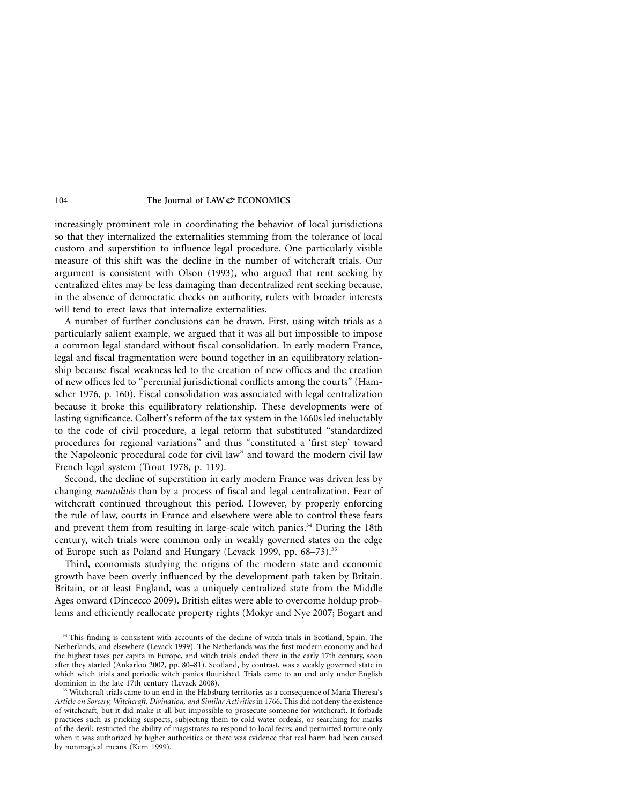increasingly prominent role in coordinating the behavior of local jurisdictions so that they internalized the externalities stemming from the tolerance of local custom and superstition to influence legal procedure. One particularly visible measure of this shift was the decline in the number of witchcraft trials. Our argument is consistent with Olson (1993), who argued that rent seeking by centralized elites may be less damaging than decentralized rent seeking because, in the absence of democratic checks on authority, rulers with broader interests will tend to erect laws that internalize externalities.

A number of further conclusions can be drawn. First, using witch trials as a particularly salient example, we argued that it was all but impossible to impose a common legal standard without fiscal consolidation. In early modern France, legal and fiscal fragmentation were bound together in an equilibratory relationship because fiscal weakness led to the creation of new offices and the creation of new offices led to "perennial jurisdictional conflicts among the courts" (Hamscher 1976, p. 160). Fiscal consolidation was associated with legal centralization because it broke this equilibratory relationship. These developments were of lasting significance. Colbert's reform of the tax system in the 1660s led ineluctably to the code of civil procedure, a legal reform that substituted "standardized procedures for regional variations" and thus "constituted a 'first step' toward the Napoleonic procedural code for civil law" and toward the modern civil law French legal system (Trout 1978, p. 119).

Second, the decline of superstition in early modern France was driven less by changing *mentalités* than by a process of fiscal and legal centralization. Fear of witchcraft continued throughout this period. However, by properly enforcing the rule of law, courts in France and elsewhere were able to control these fears and prevent them from resulting in large-scale witch panics.<sup>34</sup> During the 18th century, witch trials were common only in weakly governed states on the edge of Europe such as Poland and Hungary (Levack 1999, pp. 68–73).<sup>35</sup>

Third, economists studying the origins of the modern state and economic growth have been overly influenced by the development path taken by Britain. Britain, or at least England, was a uniquely centralized state from the Middle Ages onward (Dincecco 2009). British elites were able to overcome holdup problems and efficiently reallocate property rights (Mokyr and Nye 2007; Bogart and

<sup>&</sup>lt;sup>34</sup> This finding is consistent with accounts of the decline of witch trials in Scotland, Spain, The Netherlands, and elsewhere (Levack 1999). The Netherlands was the first modern economy and had the highest taxes per capita in Europe, and witch trials ended there in the early 17th century, soon after they started (Ankarloo 2002, pp. 80–81). Scotland, by contrast, was a weakly governed state in which witch trials and periodic witch panics flourished. Trials came to an end only under English dominion in the late 17th century (Levack 2008).

<sup>35</sup> Witchcraft trials came to an end in the Habsburg territories as a consequence of Maria Theresa's *Article on Sorcery, Witchcraft, Divination, and Similar Activities* in 1766. This did not deny the existence of witchcraft, but it did make it all but impossible to prosecute someone for witchcraft. It forbade practices such as pricking suspects, subjecting them to cold-water ordeals, or searching for marks of the devil; restricted the ability of magistrates to respond to local fears; and permitted torture only when it was authorized by higher authorities or there was evidence that real harm had been caused by nonmagical means (Kern 1999).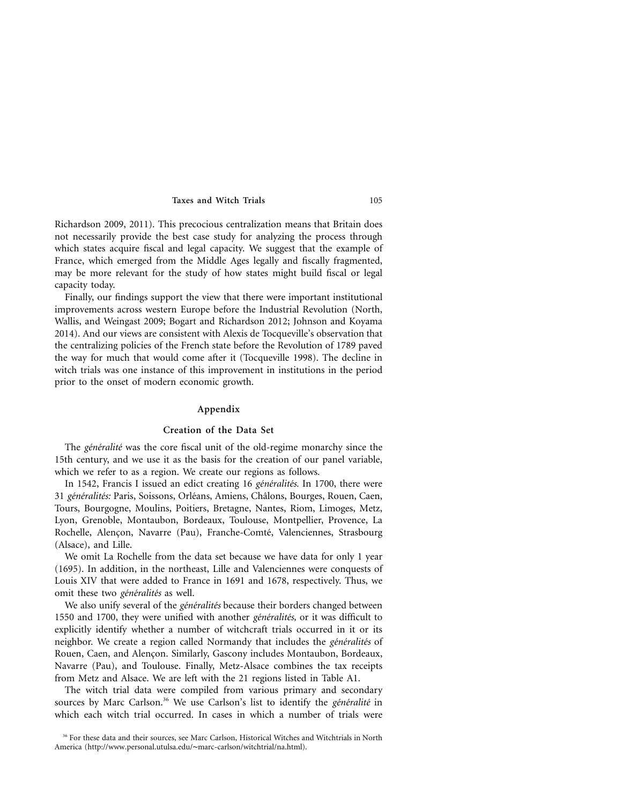Richardson 2009, 2011). This precocious centralization means that Britain does not necessarily provide the best case study for analyzing the process through which states acquire fiscal and legal capacity. We suggest that the example of France, which emerged from the Middle Ages legally and fiscally fragmented, may be more relevant for the study of how states might build fiscal or legal capacity today.

Finally, our findings support the view that there were important institutional improvements across western Europe before the Industrial Revolution (North, Wallis, and Weingast 2009; Bogart and Richardson 2012; Johnson and Koyama 2014). And our views are consistent with Alexis de Tocqueville's observation that the centralizing policies of the French state before the Revolution of 1789 paved the way for much that would come after it (Tocqueville 1998). The decline in witch trials was one instance of this improvement in institutions in the period prior to the onset of modern economic growth.

## **Appendix**

# **Creation of the Data Set**

The *généralité* was the core fiscal unit of the old-regime monarchy since the 15th century, and we use it as the basis for the creation of our panel variable, which we refer to as a region. We create our regions as follows.

In 1542, Francis I issued an edict creating 16 *généralités*. In 1700, there were 31 généralités: Paris, Soissons, Orléans, Amiens, Châlons, Bourges, Rouen, Caen, Tours, Bourgogne, Moulins, Poitiers, Bretagne, Nantes, Riom, Limoges, Metz, Lyon, Grenoble, Montaubon, Bordeaux, Toulouse, Montpellier, Provence, La Rochelle, Alençon, Navarre (Pau), Franche-Comté, Valenciennes, Strasbourg (Alsace), and Lille.

We omit La Rochelle from the data set because we have data for only 1 year (1695). In addition, in the northeast, Lille and Valenciennes were conquests of Louis XIV that were added to France in 1691 and 1678, respectively. Thus, we omit these two *généralités* as well.

We also unify several of the *généralités* because their borders changed between 1550 and 1700, they were unified with another *généralités*, or it was difficult to explicitly identify whether a number of witchcraft trials occurred in it or its neighbor. We create a region called Normandy that includes the *généralités* of Rouen, Caen, and Alençon. Similarly, Gascony includes Montaubon, Bordeaux, Navarre (Pau), and Toulouse. Finally, Metz-Alsace combines the tax receipts from Metz and Alsace. We are left with the 21 regions listed in Table A1.

The witch trial data were compiled from various primary and secondary sources by Marc Carlson.<sup>36</sup> We use Carlson's list to identify the *généralité* in which each witch trial occurred. In cases in which a number of trials were

<sup>&</sup>lt;sup>36</sup> For these data and their sources, see Marc Carlson, Historical Witches and Witchtrials in North America [\(http://www.personal.utulsa.edu/](http://www.personal.utulsa.edu/marc-carlson/witchtrial/na.html)∼marc-carlson/witchtrial/na.html).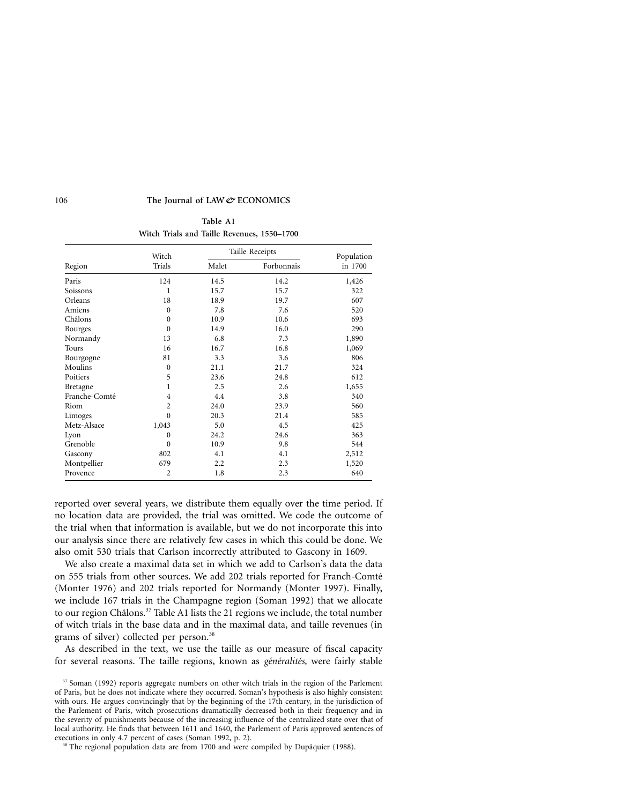**Table A1 Witch Trials and Taille Revenues, 1550–1700**

|                | Witch          |       | Taille Receipts |                       |  |
|----------------|----------------|-------|-----------------|-----------------------|--|
| Region         | Trials         | Malet | Forbonnais      | Population<br>in 1700 |  |
| Paris          | 124            | 14.5  | 14.2            | 1,426                 |  |
| Soissons       | 1              | 15.7  | 15.7            | 322                   |  |
| Orleans        | 18             | 18.9  | 19.7            | 607                   |  |
| Amiens         | $\Omega$       | 7.8   | 7.6             | 520                   |  |
| Châlons        | $\Omega$       | 10.9  | 10.6            | 693                   |  |
| <b>Bourges</b> | $\Omega$       | 14.9  | 16.0            | 290                   |  |
| Normandy       | 13             | 6.8   | 7.3             | 1,890                 |  |
| Tours          | 16             | 16.7  | 16.8            | 1,069                 |  |
| Bourgogne      | 81             | 3.3   | 3.6             | 806                   |  |
| Moulins        | $\Omega$       | 21.1  | 21.7            | 324                   |  |
| Poitiers       | 5              | 23.6  | 24.8            | 612                   |  |
| Bretagne       | 1              | 2.5   | 2.6             | 1,655                 |  |
| Franche-Comté  | 4              | 4.4   | 3.8             | 340                   |  |
| Riom           | 2              | 24.0  | 23.9            | 560                   |  |
| Limoges        | $\Omega$       | 20.3  | 21.4            | 585                   |  |
| Metz-Alsace    | 1,043          | 5.0   | 4.5             | 425                   |  |
| Lyon           | $\Omega$       | 24.2  | 24.6            | 363                   |  |
| Grenoble       | $\Omega$       | 10.9  | 9.8             | 544                   |  |
| Gascony        | 802            | 4.1   | 4.1             | 2,512                 |  |
| Montpellier    | 679            | 2.2   | 2.3             | 1,520                 |  |
| Provence       | $\overline{2}$ | 1.8   | 2.3             | 640                   |  |

reported over several years, we distribute them equally over the time period. If no location data are provided, the trial was omitted. We code the outcome of the trial when that information is available, but we do not incorporate this into our analysis since there are relatively few cases in which this could be done. We also omit 530 trials that Carlson incorrectly attributed to Gascony in 1609.

We also create a maximal data set in which we add to Carlson's data the data on 555 trials from other sources. We add 202 trials reported for Franch-Comté (Monter 1976) and 202 trials reported for Normandy (Monter 1997). Finally, we include 167 trials in the Champagne region (Soman 1992) that we allocate to our region Châlons.<sup>37</sup> Table A1 lists the 21 regions we include, the total number of witch trials in the base data and in the maximal data, and taille revenues (in grams of silver) collected per person.<sup>38</sup>

As described in the text, we use the taille as our measure of fiscal capacity for several reasons. The taille regions, known as *généralités*, were fairly stable

<sup>&</sup>lt;sup>37</sup> Soman (1992) reports aggregate numbers on other witch trials in the region of the Parlement of Paris, but he does not indicate where they occurred. Soman's hypothesis is also highly consistent with ours. He argues convincingly that by the beginning of the 17th century, in the jurisdiction of the Parlement of Paris, witch prosecutions dramatically decreased both in their frequency and in the severity of punishments because of the increasing influence of the centralized state over that of local authority. He finds that between 1611 and 1640, the Parlement of Paris approved sentences of executions in only 4.7 percent of cases (Soman 1992, p. 2).

<sup>&</sup>lt;sup>38</sup> The regional population data are from 1700 and were compiled by Dupâquier (1988).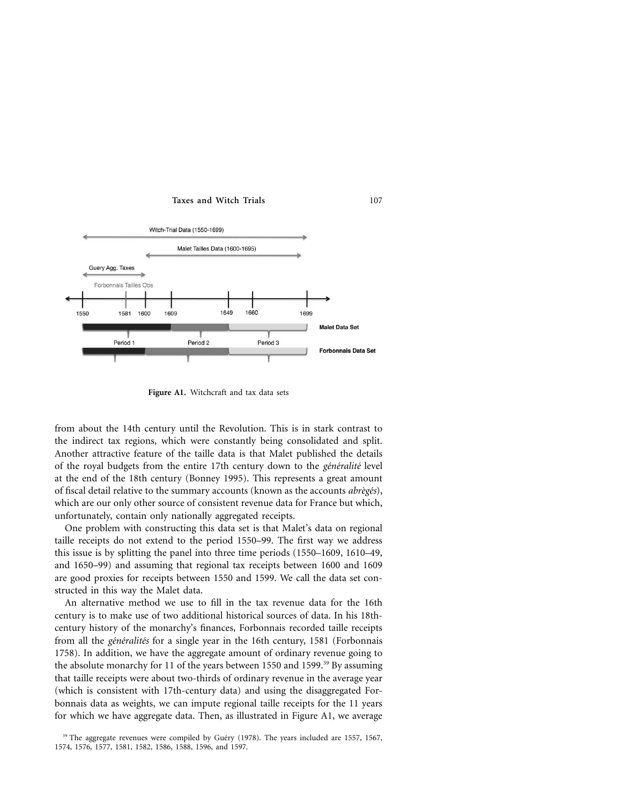

Figure A1. Witchcraft and tax data sets

from about the 14th century until the Revolution. This is in stark contrast to the indirect tax regions, which were constantly being consolidated and split. Another attractive feature of the taille data is that Malet published the details of the royal budgets from the entire 17th century down to the *généralité* level at the end of the 18th century (Bonney 1995). This represents a great amount of fiscal detail relative to the summary accounts (known as the accounts *abrègés*), which are our only other source of consistent revenue data for France but which, unfortunately, contain only nationally aggregated receipts.

One problem with constructing this data set is that Malet's data on regional taille receipts do not extend to the period 1550–99. The first way we address this issue is by splitting the panel into three time periods (1550–1609, 1610–49, and 1650–99) and assuming that regional tax receipts between 1600 and 1609 are good proxies for receipts between 1550 and 1599. We call the data set constructed in this way the Malet data.

An alternative method we use to fill in the tax revenue data for the 16th century is to make use of two additional historical sources of data. In his 18thcentury history of the monarchy's finances, Forbonnais recorded taille receipts from all the *généralités* for a single year in the 16th century, 1581 (Forbonnais 1758). In addition, we have the aggregate amount of ordinary revenue going to the absolute monarchy for 11 of the years between 1550 and 1599. $^{39}$  By assuming that taille receipts were about two-thirds of ordinary revenue in the average year (which is consistent with 17th-century data) and using the disaggregated Forbonnais data as weights, we can impute regional taille receipts for the 11 years for which we have aggregate data. Then, as illustrated in Figure A1, we average

 $39$  The aggregate revenues were compiled by Guéry (1978). The years included are 1557, 1567, 1574, 1576, 1577, 1581, 1582, 1586, 1588, 1596, and 1597.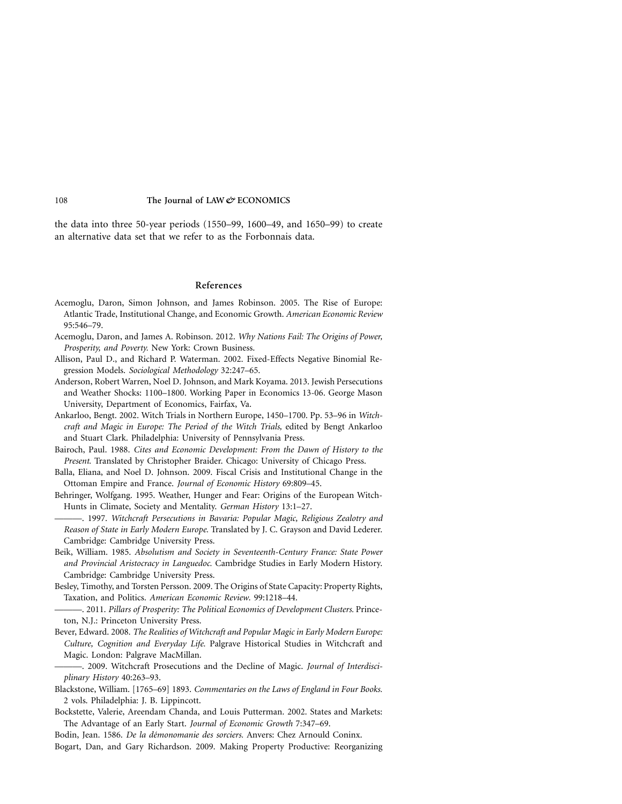the data into three 50-year periods (1550–99, 1600–49, and 1650–99) to create an alternative data set that we refer to as the Forbonnais data.

# **References**

- Acemoglu, Daron, Simon Johnson, and James Robinson. 2005. The Rise of Europe: Atlantic Trade, Institutional Change, and Economic Growth. *American Economic Review* 95:546–79.
- Acemoglu, Daron, and James A. Robinson. 2012. *Why Nations Fail: The Origins of Power, Prosperity, and Poverty.* New York: Crown Business.
- Allison, Paul D., and Richard P. Waterman. 2002. Fixed-Effects Negative Binomial Regression Models. *Sociological Methodology* 32:247–65.
- Anderson, Robert Warren, Noel D. Johnson, and Mark Koyama. 2013. Jewish Persecutions and Weather Shocks: 1100–1800. Working Paper in Economics 13-06. George Mason University, Department of Economics, Fairfax, Va.
- Ankarloo, Bengt. 2002. Witch Trials in Northern Europe, 1450–1700. Pp. 53–96 in *Witchcraft and Magic in Europe: The Period of the Witch Trials,* edited by Bengt Ankarloo and Stuart Clark. Philadelphia: University of Pennsylvania Press.
- Bairoch, Paul. 1988. *Cites and Economic Development: From the Dawn of History to the Present.* Translated by Christopher Braider. Chicago: University of Chicago Press.
- Balla, Eliana, and Noel D. Johnson. 2009. Fiscal Crisis and Institutional Change in the Ottoman Empire and France. *Journal of Economic History* 69:809–45.
- Behringer, Wolfgang. 1995. Weather, Hunger and Fear: Origins of the European Witch-Hunts in Climate, Society and Mentality. *German History* 13:1–27.
- ———. 1997. *Witchcraft Persecutions in Bavaria: Popular Magic, Religious Zealotry and Reason of State in Early Modern Europe.* Translated by J. C. Grayson and David Lederer. Cambridge: Cambridge University Press.
- Beik, William. 1985. *Absolutism and Society in Seventeenth-Century France: State Power and Provincial Aristocracy in Languedoc.* Cambridge Studies in Early Modern History. Cambridge: Cambridge University Press.
- Besley, Timothy, and Torsten Persson. 2009. The Origins of State Capacity: Property Rights, Taxation, and Politics. *American Economic Review*. 99:1218–44.
- ———. 2011. *Pillars of Prosperity: The Political Economics of Development Clusters.* Princeton, N.J.: Princeton University Press.
- Bever, Edward. 2008. *The Realities of Witchcraft and Popular Magic in Early Modern Europe: Culture, Cognition and Everyday Life.* Palgrave Historical Studies in Witchcraft and Magic. London: Palgrave MacMillan.

-. 2009. Witchcraft Prosecutions and the Decline of Magic. *Journal of Interdisciplinary History* 40:263–93.

- Blackstone, William. [1765–69] 1893. *Commentaries on the Laws of England in Four Books.* 2 vols. Philadelphia: J. B. Lippincott.
- Bockstette, Valerie, Areendam Chanda, and Louis Putterman. 2002. States and Markets: The Advantage of an Early Start. *Journal of Economic Growth* 7:347–69.
- Bodin, Jean. 1586. *De la démonomanie des sorciers*. Anvers: Chez Arnould Coninx. Bogart, Dan, and Gary Richardson. 2009. Making Property Productive: Reorganizing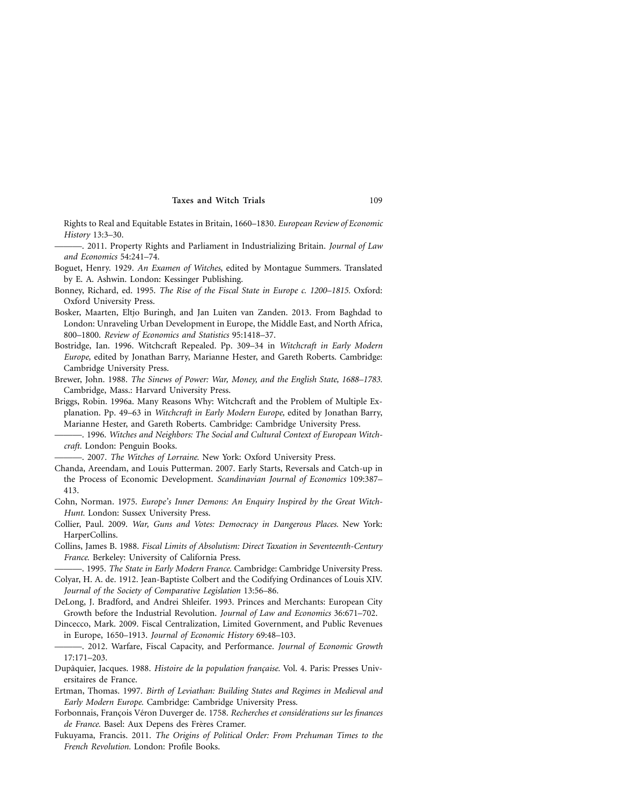Rights to Real and Equitable Estates in Britain, 1660–1830. *European Review of Economic History* 13:3–30.

———. 2011. Property Rights and Parliament in Industrializing Britain. *Journal of Law and Economics* 54:241–74.

- Boguet, Henry. 1929. *An Examen of Witches*, edited by Montague Summers. Translated by E. A. Ashwin. London: Kessinger Publishing.
- Bonney, Richard, ed. 1995. *The Rise of the Fiscal State in Europe c. 1200–1815.* Oxford: Oxford University Press.
- Bosker, Maarten, Eltjo Buringh, and Jan Luiten van Zanden. 2013. From Baghdad to London: Unraveling Urban Development in Europe, the Middle East, and North Africa, 800–1800. *Review of Economics and Statistics* 95:1418–37.
- Bostridge, Ian. 1996. Witchcraft Repealed. Pp. 309–34 in *Witchcraft in Early Modern Europe,* edited by Jonathan Barry, Marianne Hester, and Gareth Roberts. Cambridge: Cambridge University Press.
- Brewer, John. 1988. *The Sinews of Power: War, Money, and the English State, 1688–1783.* Cambridge, Mass.: Harvard University Press.
- Briggs, Robin. 1996a. Many Reasons Why: Witchcraft and the Problem of Multiple Explanation. Pp. 49–63 in *Witchcraft in Early Modern Europe,* edited by Jonathan Barry, Marianne Hester, and Gareth Roberts. Cambridge: Cambridge University Press.
- . 1996. Witches and Neighbors: The Social and Cultural Context of European Witch*craft.* London: Penguin Books.
- -. 2007. *The Witches of Lorraine*. New York: Oxford University Press.
- Chanda, Areendam, and Louis Putterman. 2007. Early Starts, Reversals and Catch-up in the Process of Economic Development. *Scandinavian Journal of Economics* 109:387– 413.
- Cohn, Norman. 1975. *Europe's Inner Demons: An Enquiry Inspired by the Great Witch-Hunt.* London: Sussex University Press.
- Collier, Paul. 2009. *War, Guns and Votes: Democracy in Dangerous Places.* New York: HarperCollins.
- Collins, James B. 1988. *Fiscal Limits of Absolutism: Direct Taxation in Seventeenth-Century France.* Berkeley: University of California Press.
- ———. 1995. *The State in Early Modern France.* Cambridge: Cambridge University Press. Colyar, H. A. de. 1912. Jean-Baptiste Colbert and the Codifying Ordinances of Louis XIV. *Journal of the Society of Comparative Legislation* 13:56–86.
- DeLong, J. Bradford, and Andrei Shleifer. 1993. Princes and Merchants: European City Growth before the Industrial Revolution. *Journal of Law and Economics* 36:671–702.
- Dincecco, Mark. 2009. Fiscal Centralization, Limited Government, and Public Revenues in Europe, 1650–1913. *Journal of Economic History* 69:48–103.
- ———. 2012. Warfare, Fiscal Capacity, and Performance. *Journal of Economic Growth* 17:171–203.
- Dupâquier, Jacques. 1988. *Histoire de la population française*. Vol. 4. Paris: Presses Universitaires de France.
- Ertman, Thomas. 1997. *Birth of Leviathan: Building States and Regimes in Medieval and Early Modern Europe.* Cambridge: Cambridge University Press.
- Forbonnais, Francois Véron Duverger de. 1758. *Recherches et considérations sur les finances* de France. Basel: Aux Depens des Frères Cramer.
- Fukuyama, Francis. 2011. *The Origins of Political Order: From Prehuman Times to the French Revolution.* London: Profile Books.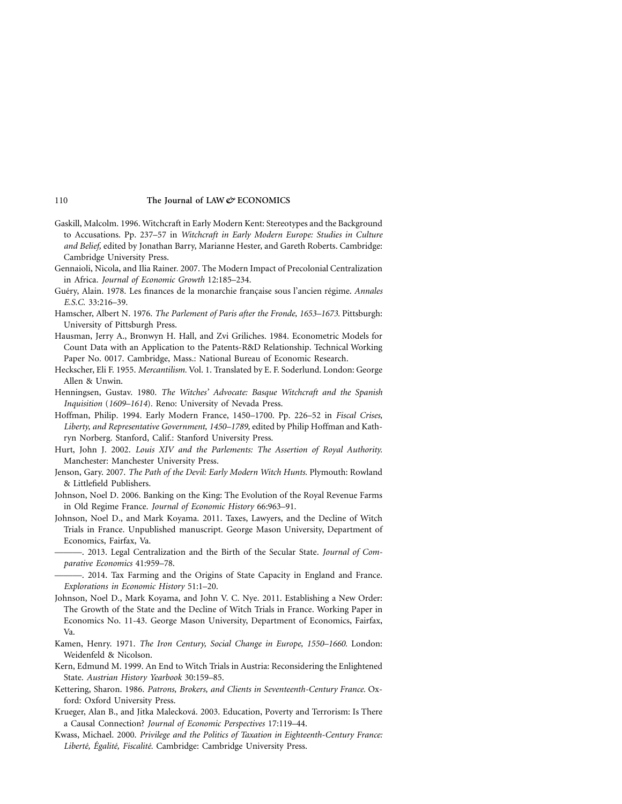- Gaskill, Malcolm. 1996. Witchcraft in Early Modern Kent: Stereotypes and the Background to Accusations. Pp. 237–57 in *Witchcraft in Early Modern Europe: Studies in Culture and Belief,* edited by Jonathan Barry, Marianne Hester, and Gareth Roberts. Cambridge: Cambridge University Press.
- Gennaioli, Nicola, and Ilia Rainer. 2007. The Modern Impact of Precolonial Centralization in Africa. *Journal of Economic Growth* 12:185–234.
- Guéry, Alain. 1978. Les finances de la monarchie française sous l'ancien régime. *Annales E.S.C.* 33:216–39.
- Hamscher, Albert N. 1976. *The Parlement of Paris after the Fronde, 1653–1673.* Pittsburgh: University of Pittsburgh Press.
- Hausman, Jerry A., Bronwyn H. Hall, and Zvi Griliches. 1984. Econometric Models for Count Data with an Application to the Patents-R&D Relationship. Technical Working Paper No. 0017. Cambridge, Mass.: National Bureau of Economic Research.
- Heckscher, Eli F. 1955. *Mercantilism.* Vol. 1. Translated by E. F. Soderlund. London: George Allen & Unwin.
- Henningsen, Gustav. 1980. *The Witches' Advocate: Basque Witchcraft and the Spanish Inquisition* (*1609–1614*)*.* Reno: University of Nevada Press.
- Hoffman, Philip. 1994. Early Modern France, 1450–1700. Pp. 226–52 in *Fiscal Crises, Liberty, and Representative Government, 1450–1789,* edited by Philip Hoffman and Kathryn Norberg. Stanford, Calif.: Stanford University Press.
- Hurt, John J. 2002. *Louis XIV and the Parlements: The Assertion of Royal Authority.* Manchester: Manchester University Press.
- Jenson, Gary. 2007. *The Path of the Devil: Early Modern Witch Hunts.* Plymouth: Rowland & Littlefield Publishers.
- Johnson, Noel D. 2006. Banking on the King: The Evolution of the Royal Revenue Farms in Old Regime France. *Journal of Economic History* 66:963–91.
- Johnson, Noel D., and Mark Koyama. 2011. Taxes, Lawyers, and the Decline of Witch Trials in France. Unpublished manuscript. George Mason University, Department of Economics, Fairfax, Va.
	- -. 2013. Legal Centralization and the Birth of the Secular State. *Journal of Comparative Economics* 41:959–78.
- -. 2014. Tax Farming and the Origins of State Capacity in England and France. *Explorations in Economic History* 51:1–20.
- Johnson, Noel D., Mark Koyama, and John V. C. Nye. 2011. Establishing a New Order: The Growth of the State and the Decline of Witch Trials in France. Working Paper in Economics No. 11-43. George Mason University, Department of Economics, Fairfax, Va.
- Kamen, Henry. 1971. *The Iron Century, Social Change in Europe, 1550–1660.* London: Weidenfeld & Nicolson.
- Kern, Edmund M. 1999. An End to Witch Trials in Austria: Reconsidering the Enlightened State. *Austrian History Yearbook* 30:159–85.
- Kettering, Sharon. 1986. *Patrons, Brokers, and Clients in Seventeenth-Century France.* Oxford: Oxford University Press.
- Krueger, Alan B., and Jitka Malecková. 2003. Education, Poverty and Terrorism: Is There a Causal Connection? *Journal of Economic Perspectives* 17:119–44.
- Kwass, Michael. 2000. *Privilege and the Politics of Taxation in Eighteenth-Century France: Liberte´, E´galite´, Fiscalite´.* Cambridge: Cambridge University Press.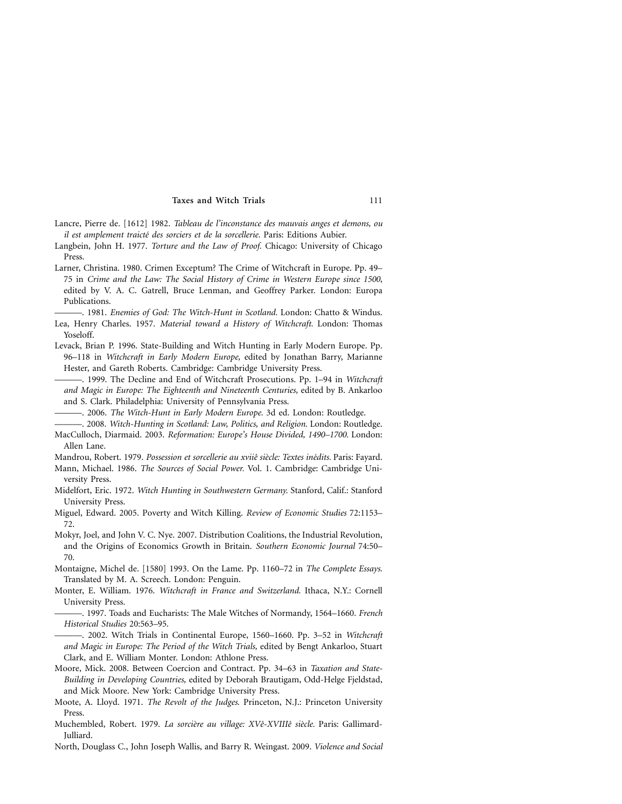- Lancre, Pierre de. [1612] 1982. *Tableau de l'inconstance des mauvais anges et demons, ou il est amplement traicte´ des sorciers et de la sorcellerie.* Paris: Editions Aubier.
- Langbein, John H. 1977. *Torture and the Law of Proof.* Chicago: University of Chicago Press.
- Larner, Christina. 1980. Crimen Exceptum? The Crime of Witchcraft in Europe. Pp. 49– 75 in *Crime and the Law: The Social History of Crime in Western Europe since 1500,* edited by V. A. C. Gatrell, Bruce Lenman, and Geoffrey Parker. London: Europa Publications.
- ———. 1981. *Enemies of God: The Witch-Hunt in Scotland.* London: Chatto & Windus. Lea, Henry Charles. 1957. *Material toward a History of Witchcraft.* London: Thomas Yoseloff.
- Levack, Brian P. 1996. State-Building and Witch Hunting in Early Modern Europe. Pp. 96–118 in *Witchcraft in Early Modern Europe,* edited by Jonathan Barry, Marianne Hester, and Gareth Roberts. Cambridge: Cambridge University Press.
	- ———. 1999. The Decline and End of Witchcraft Prosecutions. Pp. 1–94 in *Witchcraft and Magic in Europe: The Eighteenth and Nineteenth Centuries,* edited by B. Ankarloo and S. Clark. Philadelphia: University of Pennsylvania Press.
	- ———. 2006. *The Witch-Hunt in Early Modern Europe.* 3d ed. London: Routledge.

———. 2008. *Witch-Hunting in Scotland: Law, Politics, and Religion.* London: Routledge. MacCulloch, Diarmaid. 2003. *Reformation: Europe's House Divided, 1490–1700.* London:

Allen Lane. Mandrou, Robert. 1979. Possession et sorcellerie au xviiê siècle: Textes inédits. Paris: Fayard.

- Mann, Michael. 1986. *The Sources of Social Power.* Vol. 1. Cambridge: Cambridge University Press.
- Midelfort, Eric. 1972. *Witch Hunting in Southwestern Germany.* Stanford, Calif.: Stanford University Press.
- Miguel, Edward. 2005. Poverty and Witch Killing. *Review of Economic Studies* 72:1153– 72.
- Mokyr, Joel, and John V. C. Nye. 2007. Distribution Coalitions, the Industrial Revolution, and the Origins of Economics Growth in Britain. *Southern Economic Journal* 74:50– 70.

Montaigne, Michel de. [1580] 1993. On the Lame. Pp. 1160–72 in *The Complete Essays.* Translated by M. A. Screech. London: Penguin.

Monter, E. William. 1976. *Witchcraft in France and Switzerland.* Ithaca, N.Y.: Cornell University Press.

———. 1997. Toads and Eucharists: The Male Witches of Normandy, 1564–1660. *French Historical Studies* 20:563–95.

———. 2002. Witch Trials in Continental Europe, 1560–1660. Pp. 3–52 in *Witchcraft and Magic in Europe: The Period of the Witch Trials,* edited by Bengt Ankarloo, Stuart Clark, and E. William Monter. London: Athlone Press.

- Moore, Mick. 2008. Between Coercion and Contract. Pp. 34–63 in *Taxation and State-Building in Developing Countries,* edited by Deborah Brautigam, Odd-Helge Fjeldstad, and Mick Moore. New York: Cambridge University Press.
- Moote, A. Lloyd. 1971. *The Revolt of the Judges.* Princeton, N.J.: Princeton University Press.
- Muchembled, Robert. 1979. *La sorcière au village: XVê-XVIIIê siècle*. Paris: Gallimard-Julliard.
- North, Douglass C., John Joseph Wallis, and Barry R. Weingast. 2009. *Violence and Social*